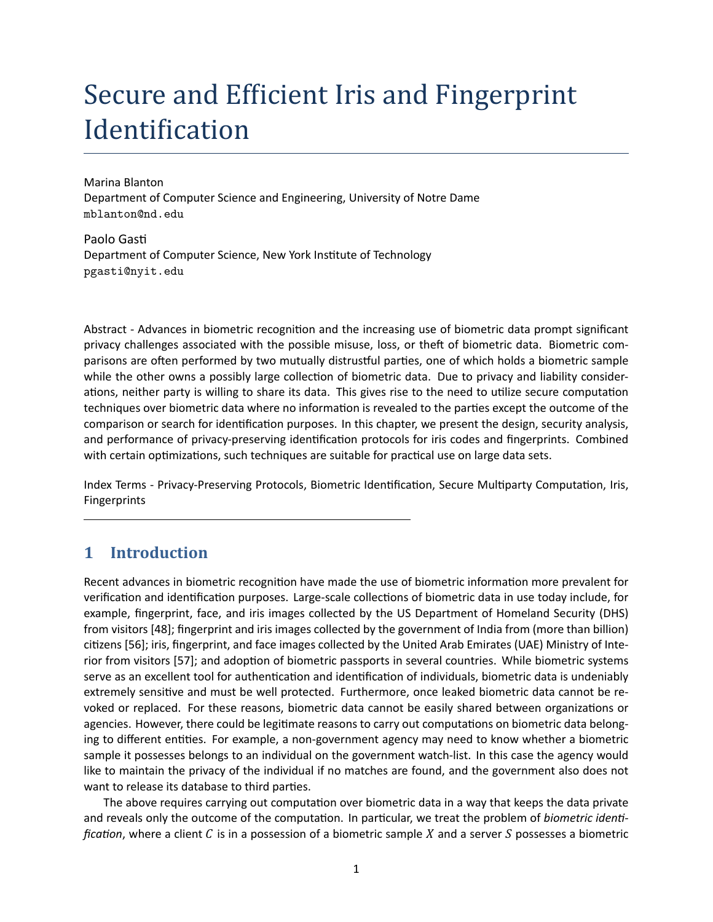# Secure and Efficient Iris and Fingerprint Identification

Marina Blanton Department of Computer Science and Engineering, University of Notre Dame mblanton@nd.edu

Paolo Gasti Department of Computer Science, New York Institute of Technology pgasti@nyit.edu

Abstract - Advances in biometric recognition and the increasing use of biometric data prompt significant privacy challenges associated with the possible misuse, loss, or theft of biometric data. Biometric comparisons are often performed by two mutually distrustful parties, one of which holds a biometric sample while the other owns a possibly large collection of biometric data. Due to privacy and liability considerations, neither party is willing to share its data. This gives rise to the need to utilize secure computation techniques over biometric data where no information is revealed to the parties except the outcome of the comparison or search for identification purposes. In this chapter, we present the design, security analysis, and performance of privacy-preserving identification protocols for iris codes and fingerprints. Combined with certain optimizations, such techniques are suitable for practical use on large data sets.

Index Terms - Privacy-Preserving Protocols, Biometric Identification, Secure Multiparty Computation, Iris, Fingerprints

# **1 Introduction**

Recent advances in biometric recognition have made the use of biometric information more prevalent for verification and identification purposes. Large-scale collections of biometric data in use today include, for example, fingerprint, face, and iris images collected by the US Department of Homeland Security (DHS) from visitors [48]; fingerprint and iris images collected by the government of India from (more than billion) citizens [56]; iris, fingerprint, and face images collected by the United Arab Emirates (UAE) Ministry of Interior from visitors [57]; and adoption of biometric passports in several countries. While biometric systems serve as an excellent tool for authentication and identification of individuals, biometric data is undeniably extremely sensitive and must be well protected. Furthermore, once leaked biometric data cannot be revoked or replaced. For these reasons, biometric data cannot be easily shared between organizations or agencies. However, there could be legitimate reasons to carry out computations on biometric data belonging to different entities. For example, a non-government agency may need to know whether a biometric sample it possesses belongs to an individual on the government watch-list. In this case the agency would like to maintain the privacy of the individual if no matches are found, and the government also does not want to release its database to third parties.

The above requires carrying out computation over biometric data in a way that keeps the data private and reveals only the outcome of the computation. In particular, we treat the problem of *biometric identification*, where a client  $C$  is in a possession of a biometric sample  $X$  and a server  $S$  possesses a biometric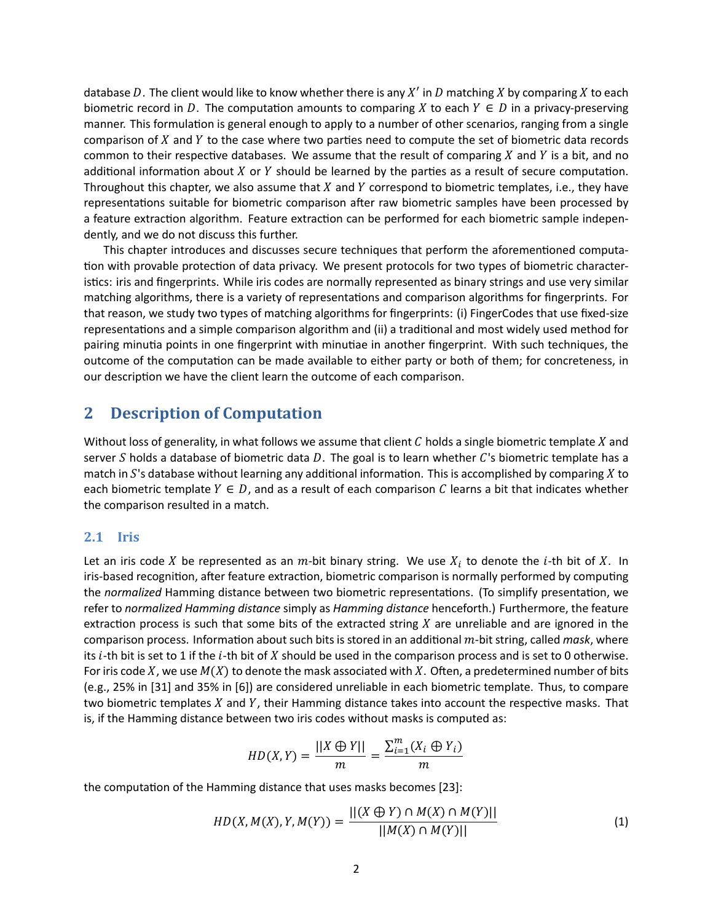database D. The client would like to know whether there is any  $X'$  in D matching X by comparing X to each biometric record in D. The computation amounts to comparing X to each  $Y \in D$  in a privacy-preserving manner. This formulation is general enough to apply to a number of other scenarios, ranging from a single comparison of  $X$  and  $Y$  to the case where two parties need to compute the set of biometric data records common to their respective databases. We assume that the result of comparing  $X$  and  $Y$  is a bit, and no additional information about  $X$  or  $Y$  should be learned by the parties as a result of secure computation. Throughout this chapter, we also assume that  $X$  and  $Y$  correspond to biometric templates, i.e., they have representations suitable for biometric comparison after raw biometric samples have been processed by a feature extraction algorithm. Feature extraction can be performed for each biometric sample independently, and we do not discuss this further.

This chapter introduces and discusses secure techniques that perform the aforementioned computation with provable protection of data privacy. We present protocols for two types of biometric characteristics: iris and fingerprints. While iris codes are normally represented as binary strings and use very similar matching algorithms, there is a variety of representations and comparison algorithms for fingerprints. For that reason, we study two types of matching algorithms for fingerprints: (i) FingerCodes that use fixed-size representations and a simple comparison algorithm and (ii) a traditional and most widely used method for pairing minutia points in one fingerprint with minutiae in another fingerprint. With such techniques, the outcome of the computation can be made available to either party or both of them; for concreteness, in our description we have the client learn the outcome of each comparison.

# **2 Description of Computation**

Without loss of generality, in what follows we assume that client  $C$  holds a single biometric template  $X$  and server S holds a database of biometric data D. The goal is to learn whether  $C$ 's biometric template has a match in  $S$ 's database without learning any additional information. This is accomplished by comparing  $X$  to each biometric template  $Y \in D$ , and as a result of each comparison C learns a bit that indicates whether the comparison resulted in a match.

#### **2.1 Iris**

Let an iris code X be represented as an  $m$ -bit binary string. We use  $X_i$  to denote the i-th bit of X. In iris-based recognition, after feature extraction, biometric comparison is normally performed by computing the *normalized* Hamming distance between two biometric representations. (To simplify presentation, we refer to *normalized Hamming distance* simply as *Hamming distance* henceforth.) Furthermore, the feature extraction process is such that some bits of the extracted string  $X$  are unreliable and are ignored in the comparison process. Information about such bits is stored in an additional  $m$ -bit string, called *mask*, where its  $i$ -th bit is set to 1 if the  $i$ -th bit of  $X$  should be used in the comparison process and is set to 0 otherwise. For iris code X, we use  $M(X)$  to denote the mask associated with X. Often, a predetermined number of bits (e.g., 25% in [31] and 35% in [6]) are considered unreliable in each biometric template. Thus, to compare two biometric templates  $X$  and  $Y$ , their Hamming distance takes into account the respective masks. That is, if the Hamming distance between two iris codes without masks is computed as:

$$
HD(X,Y) = \frac{||X \oplus Y||}{m} = \frac{\sum_{i=1}^{m} (X_i \oplus Y_i)}{m}
$$

the computation of the Hamming distance that uses masks becomes [23]:

$$
HD(X, M(X), Y, M(Y)) = \frac{||(X \oplus Y) \cap M(X) \cap M(Y)||}{||M(X) \cap M(Y)||}
$$
\n(1)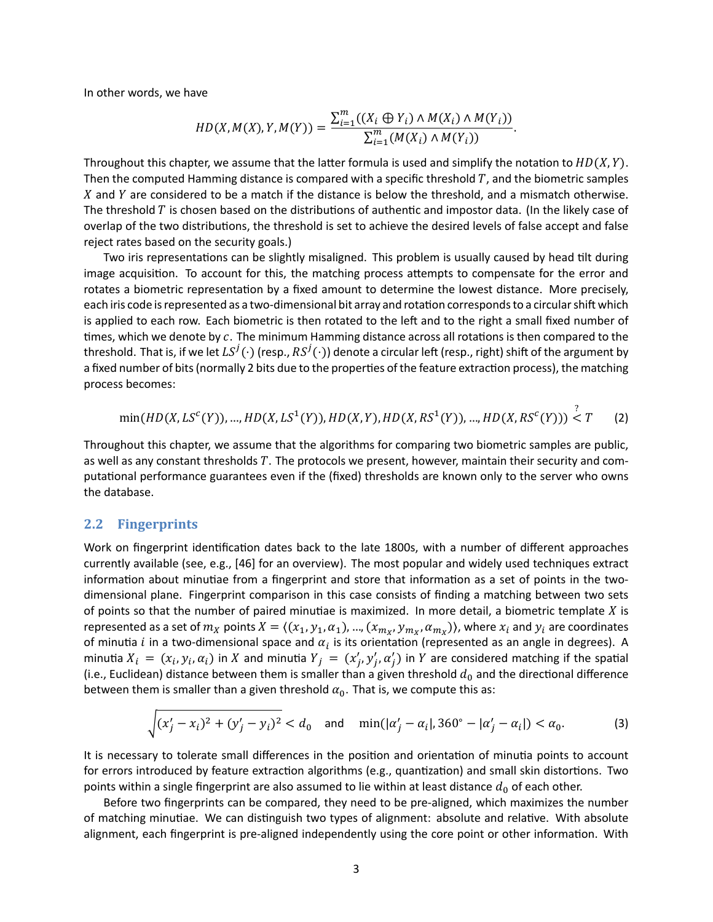In other words, we have

$$
HD(X, M(X), Y, M(Y)) = \frac{\sum_{i=1}^{m} ((X_i \oplus Y_i) \wedge M(X_i) \wedge M(Y_i))}{\sum_{i=1}^{m} (M(X_i) \wedge M(Y_i))}.
$$

Throughout this chapter, we assume that the latter formula is used and simplify the notation to  $HD(X, Y)$ . Then the computed Hamming distance is compared with a specific threshold  $T$ , and the biometric samples  $X$  and  $Y$  are considered to be a match if the distance is below the threshold, and a mismatch otherwise. The threshold  $T$  is chosen based on the distributions of authentic and impostor data. (In the likely case of overlap of the two distributions, the threshold is set to achieve the desired levels of false accept and false reject rates based on the security goals.)

Two iris representations can be slightly misaligned. This problem is usually caused by head tilt during image acquisition. To account for this, the matching process attempts to compensate for the error and rotates a biometric representation by a fixed amount to determine the lowest distance. More precisely, each iris code is represented as a two-dimensional bit array and rotation corresponds to a circular shift which is applied to each row. Each biometric is then rotated to the left and to the right a small fixed number of times, which we denote by  $c$ . The minimum Hamming distance across all rotations is then compared to the threshold. That is, if we let  $LS^j(\cdot)$  (resp.,  $RS^j(\cdot)$ ) denote a circular left (resp., right) shift of the argument by a fixed number of bits (normally 2 bits due to the properties of the feature extraction process), the matching process becomes:

$$
\min(HD(X, LS^{c}(Y)), ..., HD(X, LS^{1}(Y)), HD(X, Y), HD(X, RS^{1}(Y)), ..., HD(X, RS^{c}(Y))) < T \tag{2}
$$

?

Throughout this chapter, we assume that the algorithms for comparing two biometric samples are public, as well as any constant thresholds T. The protocols we present, however, maintain their security and computational performance guarantees even if the (fixed) thresholds are known only to the server who owns the database.

#### **2.2 Fingerprints**

Work on fingerprint identification dates back to the late 1800s, with a number of different approaches currently available (see, e.g., [46] for an overview). The most popular and widely used techniques extract information about minutiae from a fingerprint and store that information as a set of points in the twodimensional plane. Fingerprint comparison in this case consists of finding a matching between two sets of points so that the number of paired minutiae is maximized. In more detail, a biometric template  $X$  is represented as a set of  $m_X$  points  $X = \langle (x_1,y_1,\alpha_1),..., (x_{m_X},y_{m_X},\alpha_{m_X})\rangle$ , where  $x_i$  and  $y_i$  are coordinates of minutia i in a two-dimensional space and  $\alpha_i$  is its orientation (represented as an angle in degrees). A minutia  $X_i = (x_i, y_i, \alpha_i)$  in X and minutia  $Y_j = (x'_j, y'_j, \alpha'_j)$  in Y are considered matching if the spatial (i.e., Euclidean) distance between them is smaller than a given threshold  $d_0$  and the directional difference between them is smaller than a given threshold  $\alpha_0$ . That is, we compute this as:

$$
\sqrt{(x'_j - x_i)^2 + (y'_j - y_i)^2} < d_0 \quad \text{and} \quad \min(|\alpha'_j - \alpha_i|, 360^\circ - |\alpha'_j - \alpha_i|) < \alpha_0. \tag{3}
$$

It is necessary to tolerate small differences in the position and orientation of minutia points to account for errors introduced by feature extraction algorithms (e.g., quantization) and small skin distortions. Two points within a single fingerprint are also assumed to lie within at least distance  $d_0$  of each other.

Before two fingerprints can be compared, they need to be pre-aligned, which maximizes the number of matching minutiae. We can distinguish two types of alignment: absolute and relative. With absolute alignment, each fingerprint is pre-aligned independently using the core point or other information. With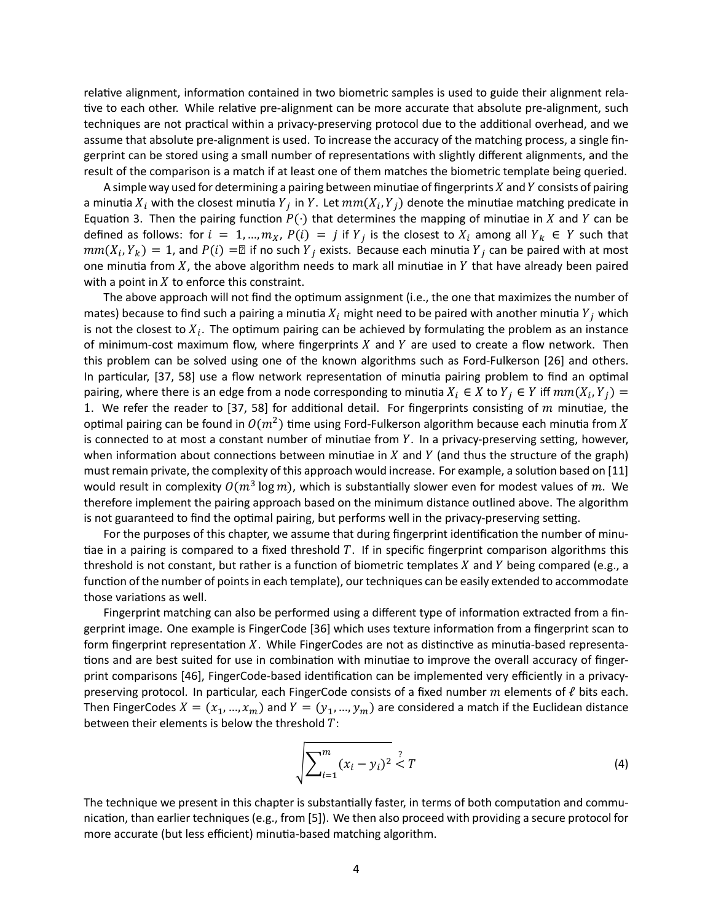relative alignment, information contained in two biometric samples is used to guide their alignment relative to each other. While relative pre-alignment can be more accurate that absolute pre-alignment, such techniques are not practical within a privacy-preserving protocol due to the additional overhead, and we assume that absolute pre-alignment is used. To increase the accuracy of the matching process, a single fingerprint can be stored using a small number of representations with slightly different alignments, and the result of the comparison is a match if at least one of them matches the biometric template being queried.

A simple way used for determining a pairing between minutiae of fingerprints  $X$  and  $Y$  consists of pairing a minutia  $X_i$  with the closest minutia  $Y_j$  in  $Y$ . Let  $mm(X_i, Y_j)$  denote the minutiae matching predicate in Equation 3. Then the pairing function  $P(\cdot)$  that determines the mapping of minutiae in X and Y can be defined as follows: for  $i = 1, ..., m_X$ ,  $P(i) = j$  if  $Y_j$  is the closest to  $X_i$  among all  $Y_k \in Y$  such that  $mm(X_i,Y_k)=1$ , and  $P(i)=\boxtimes$  if no such  $Y_j$  exists. Because each minutia  $Y_j$  can be paired with at most one minutia from  $X$ , the above algorithm needs to mark all minutiae in  $Y$  that have already been paired with a point in  $X$  to enforce this constraint.

The above approach will not find the optimum assignment (i.e., the one that maximizes the number of mates) because to find such a pairing a minutia  $X_i$  might need to be paired with another minutia  $Y_i$  which is not the closest to  $X_i$ . The optimum pairing can be achieved by formulating the problem as an instance of minimum-cost maximum flow, where fingerprints  $X$  and  $Y$  are used to create a flow network. Then this problem can be solved using one of the known algorithms such as Ford-Fulkerson [26] and others. In particular, [37, 58] use a flow network representation of minutia pairing problem to find an optimal pairing, where there is an edge from a node corresponding to minutia  $X_i \in X$  to  $Y_j \in Y$  iff  $mm(X_i, Y_j) =$ 1. We refer the reader to [37, 58] for additional detail. For fingerprints consisting of  $m$  minutiae, the optimal pairing can be found in  $O(m^2)$  time using Ford-Fulkerson algorithm because each minutia from  $X$ is connected to at most a constant number of minutiae from  $Y$ . In a privacy-preserving setting, however, when information about connections between minutiae in  $X$  and  $Y$  (and thus the structure of the graph) must remain private, the complexity of this approach would increase. For example, a solution based on [11] would result in complexity  $O(m^3\log m)$ , which is substantially slower even for modest values of  $m$ . We therefore implement the pairing approach based on the minimum distance outlined above. The algorithm is not guaranteed to find the optimal pairing, but performs well in the privacy-preserving setting.

For the purposes of this chapter, we assume that during fingerprint identification the number of minutiae in a pairing is compared to a fixed threshold  $T$ . If in specific fingerprint comparison algorithms this threshold is not constant, but rather is a function of biometric templates  $X$  and  $Y$  being compared (e.g., a function of the number of points in each template), our techniques can be easily extended to accommodate those variations as well.

Fingerprint matching can also be performed using a different type of information extracted from a fingerprint image. One example is FingerCode [36] which uses texture information from a fingerprint scan to form fingerprint representation X. While FingerCodes are not as distinctive as minutia-based representations and are best suited for use in combination with minutiae to improve the overall accuracy of fingerprint comparisons [46], FingerCode-based identification can be implemented very efficiently in a privacypreserving protocol. In particular, each FingerCode consists of a fixed number  $m$  elements of  $\ell$  bits each. Then FingerCodes  $X = (x_1, ..., x_m)$  and  $Y = (y_1, ..., y_m)$  are considered a match if the Euclidean distance between their elements is below the threshold  $T$ :

$$
\sqrt{\sum_{i=1}^{m} (x_i - y_i)^2} \le T
$$
 (4)

The technique we present in this chapter is substantially faster, in terms of both computation and communication, than earlier techniques (e.g., from [5]). We then also proceed with providing a secure protocol for more accurate (but less efficient) minutia-based matching algorithm.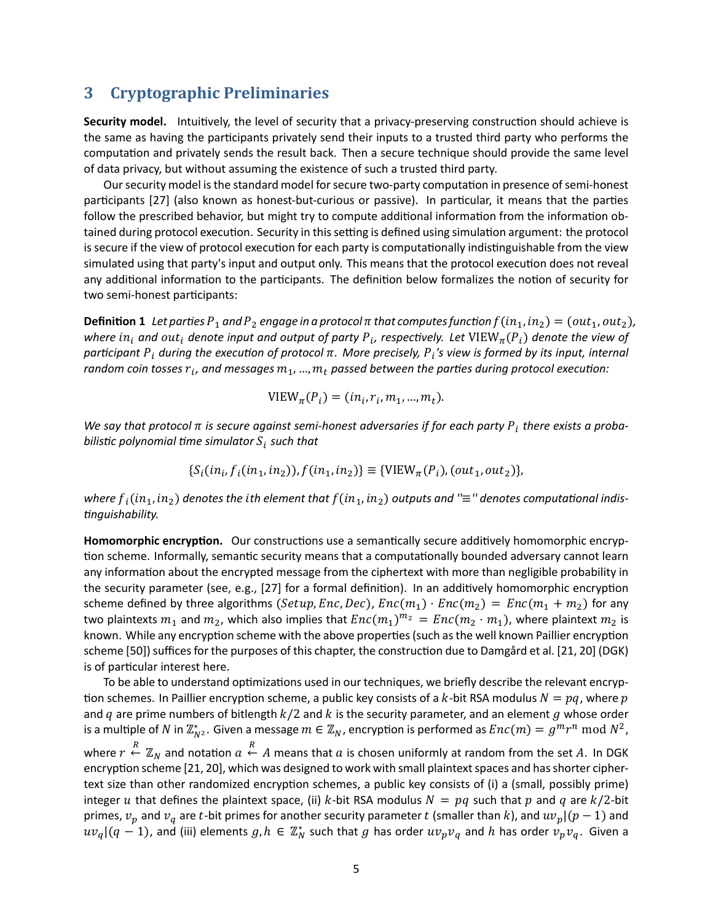# **3 Cryptographic Preliminaries**

Security model. Intuitively, the level of security that a privacy-preserving construction should achieve is the same as having the participants privately send their inputs to a trusted third party who performs the computation and privately sends the result back. Then a secure technique should provide the same level of data privacy, but without assuming the existence of such a trusted third party.

Our security model is the standard model for secure two-party computation in presence of semi-honest participants [27] (also known as honest-but-curious or passive). In particular, it means that the parties follow the prescribed behavior, but might try to compute additional information from the information obtained during protocol execution. Security in this setting is defined using simulation argument: the protocol is secure if the view of protocol execution for each party is computationally indistinguishable from the view simulated using that party's input and output only. This means that the protocol execution does not reveal any additional information to the participants. The definition below formalizes the notion of security for two semi-honest participants:

**Definition 1** *Let parties*  $P_1$  and  $P_2$  *engage in a protocol*  $\pi$  that computes function  $f(in_1, in_2) = (out_1, out_2)$ , where  $in_i$  and  $out_i$  denote input and output of party  $P_i$ , respectively. Let  $\mathrm{VIEW}_{\bm{\pi}}(P_i)$  denote the view of  $p$ articipant  $P_i$  during the execution of protocol  $\pi.$  More precisely,  $P_i$ 's view is formed by its input, internal  $r$ andom coin tosses  $r_i$ , and messages  $m_1,$  …,  $m_t$  passed between the parties during protocol execution:

$$
VIEW_{\pi}(P_i) = (in_i, r_i, m_1, ..., m_t).
$$

We say that protocol  $\pi$  is secure against semi-honest adversaries if for each party  $P_i$  there exists a probabilistic polynomial time simulator  $\boldsymbol{S}_{\boldsymbol{i}}$  such that

$$
\{S_i(in_i, f_i(in_1, in_2)), f(in_1, in_2)\} \equiv \{VIEW_{\pi}(P_i), (out_1, out_2)\},\
$$

where  $f_i(in_1,in_2)$  denotes the *i*th element that  $f(in_1,in_2)$  outputs and " $\equiv$ " denotes computational indis-*Ɵnguishability.*

**Homomorphic encryption.** Our constructions use a semantically secure additively homomorphic encryption scheme. Informally, semantic security means that a computationally bounded adversary cannot learn any information about the encrypted message from the ciphertext with more than negligible probability in the security parameter (see, e.g., [27] for a formal definition). In an additively homomorphic encryption scheme defined by three algorithms (Setup, Enc, Dec),  $Enc(m_1) \cdot Enc(m_2) = Enc(m_1 + m_2)$  for any two plaintexts  $m_1$  and  $m_2$ , which also implies that  $Enc(m_1)^{m_2} = Enc(m_2 \cdot m_1)$ , where plaintext  $m_2$  is known. While any encryption scheme with the above properties (such as the well known Paillier encryption scheme [50]) suffices for the purposes of this chapter, the construction due to Damgård et al. [21, 20] (DGK) is of particular interest here.

To be able to understand optimizations used in our techniques, we briefly describe the relevant encryption schemes. In Paillier encryption scheme, a public key consists of a k-bit RSA modulus  $N = pq$ , where p and  $q$  are prime numbers of bitlength  $k/2$  and  $k$  is the security parameter, and an element  $g$  whose order is a multiple of  $N$  in  $\mathbb{Z}_{N^2}^*$ . Given a message  $m\in\mathbb{Z}_N$ , encryption is performed as  $Enc(m)=g^mr^n \bmod N^2$ , where  $r \stackrel{R}{\leftarrow} \mathbb{Z}_N$  and notation  $a \stackrel{R}{\leftarrow} A$  means that  $a$  is chosen uniformly at random from the set  $A$ . In DGK encryption scheme [21, 20], which was designed to work with small plaintext spaces and has shorter ciphertext size than other randomized encryption schemes, a public key consists of (i) a (small, possibly prime) integer u that defines the plaintext space, (ii) k-bit RSA modulus  $N = pq$  such that p and q are  $k/2$ -bit primes,  $v_p$  and  $v_q$  are t-bit primes for another security parameter t (smaller than k), and  $uv_p|(p-1)$  and  $uv_q|(q-1)$ , and (iii) elements  $g,h\,\in\,\mathbb{Z}_N^*$  such that  $g$  has order  $uv_pv_q$  and  $h$  has order  $v_pv_q.$  Given a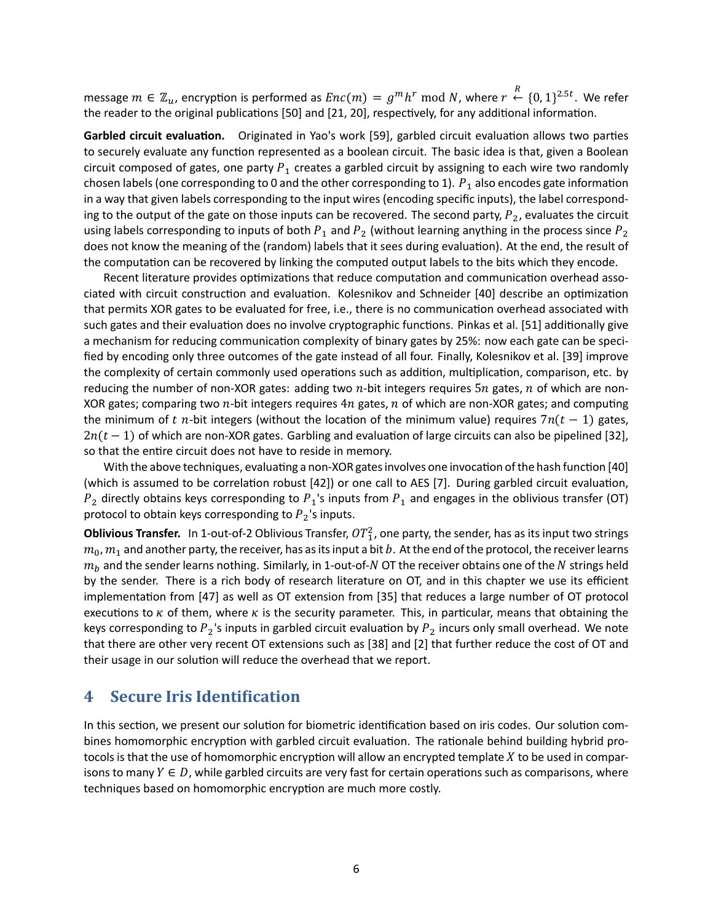message  $m\in \mathbb{Z}_u$ , encryption is performed as  $Enc(m)=g^m h^r \bmod N$ , where  $r\stackrel{R}{\leftarrow} \{0,1\}^{2.5t}.$  We refer the reader to the original publications [50] and [21, 20], respectively, for any additional information.

Garbled circuit evaluation. Originated in Yao's work [59], garbled circuit evaluation allows two parties to securely evaluate any function represented as a boolean circuit. The basic idea is that, given a Boolean circuit composed of gates, one party  $P_1$  creates a garbled circuit by assigning to each wire two randomly chosen labels (one corresponding to 0 and the other corresponding to 1).  $P_1$  also encodes gate information in a way that given labels corresponding to the input wires (encoding specific inputs), the label corresponding to the output of the gate on those inputs can be recovered. The second party,  $P_2$ , evaluates the circuit using labels corresponding to inputs of both  $P_1$  and  $P_2$  (without learning anything in the process since  $P_2$ does not know the meaning of the (random) labels that it sees during evaluation). At the end, the result of the computation can be recovered by linking the computed output labels to the bits which they encode.

Recent literature provides optimizations that reduce computation and communication overhead associated with circuit construction and evaluation. Kolesnikov and Schneider [40] describe an optimization that permits XOR gates to be evaluated for free, i.e., there is no communication overhead associated with such gates and their evaluation does no involve cryptographic functions. Pinkas et al. [51] additionally give a mechanism for reducing communication complexity of binary gates by 25%: now each gate can be specified by encoding only three outcomes of the gate instead of all four. Finally, Kolesnikov et al. [39] improve the complexity of certain commonly used operations such as addition, multiplication, comparison, etc. by reducing the number of non-XOR gates: adding two  $n$ -bit integers requires  $5n$  gates,  $n$  of which are non-XOR gates; comparing two  $n$ -bit integers requires  $4n$  gates,  $n$  of which are non-XOR gates; and computing the minimum of t n-bit integers (without the location of the minimum value) requires  $7n(t - 1)$  gates,  $2n(t - 1)$  of which are non-XOR gates. Garbling and evaluation of large circuits can also be pipelined [32], so that the entire circuit does not have to reside in memory.

With the above techniques, evaluating a non-XOR gates involves one invocation of the hash function [40] (which is assumed to be correlation robust [42]) or one call to AES [7]. During garbled circuit evaluation,  $P_2$  directly obtains keys corresponding to  $P_1$ 's inputs from  $P_1$  and engages in the oblivious transfer (OT) protocol to obtain keys corresponding to  $P_2$ 's inputs.

**Oblivious Transfer.** In 1-out-of-2 Oblivious Transfer,  $OT_1^2$ , one party, the sender, has as its input two strings  $m_0$ ,  $m_1$  and another party, the receiver, has as its input a bit b. At the end of the protocol, the receiver learns  $m_b$  and the sender learns nothing. Similarly, in 1-out-of-N OT the receiver obtains one of the N strings held by the sender. There is a rich body of research literature on OT, and in this chapter we use its efficient implementation from [47] as well as OT extension from [35] that reduces a large number of OT protocol executions to  $\kappa$  of them, where  $\kappa$  is the security parameter. This, in particular, means that obtaining the keys corresponding to  $P_2$ 's inputs in garbled circuit evaluation by  $P_2$  incurs only small overhead. We note that there are other very recent OT extensions such as [38] and [2] that further reduce the cost of OT and their usage in our solution will reduce the overhead that we report.

# **4 Secure Iris Identification**

In this section, we present our solution for biometric identification based on iris codes. Our solution combines homomorphic encryption with garbled circuit evaluation. The rationale behind building hybrid protocols is that the use of homomorphic encryption will allow an encrypted template  $X$  to be used in comparisons to many  $Y \in D$ , while garbled circuits are very fast for certain operations such as comparisons, where techniques based on homomorphic encryption are much more costly.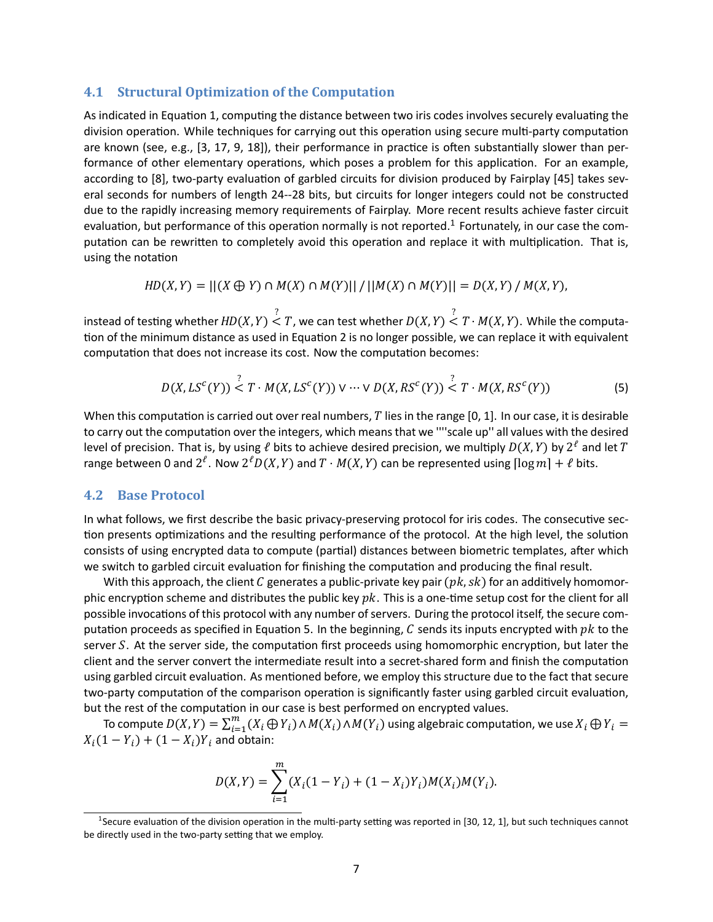#### **4.1 Structural Optimization of the Computation**

As indicated in Equation 1, computing the distance between two iris codes involves securely evaluating the division operation. While techniques for carrying out this operation using secure multi-party computation are known (see, e.g.,  $[3, 17, 9, 18]$ ), their performance in practice is often substantially slower than performance of other elementary operations, which poses a problem for this application. For an example, according to [8], two-party evaluation of garbled circuits for division produced by Fairplay [45] takes several seconds for numbers of length 24--28 bits, but circuits for longer integers could not be constructed due to the rapidly increasing memory requirements of Fairplay. More recent results achieve faster circuit evaluation, but performance of this operation normally is not reported.<sup>1</sup> Fortunately, in our case the computation can be rewritten to completely avoid this operation and replace it with multiplication. That is, using the notation

$$
HD(X,Y) = ||(X \oplus Y) \cap M(X) \cap M(Y)|| / ||M(X) \cap M(Y)|| = D(X,Y) / M(X,Y),
$$

instead of testing whether  $HD(X, Y) \nightharpoonup^? T$ , we can test whether  $D(X, Y) \nightharpoonup^? T \cdot M(X, Y)$ . While the computation of the minimum distance as used in Equation 2 is no longer possible, we can replace it with equivalent computation that does not increase its cost. Now the computation becomes:

$$
D(X, LS^{c}(Y)) \stackrel{?}{\leq} T \cdot M(X, LS^{c}(Y)) \vee \cdots \vee D(X, RS^{c}(Y)) \stackrel{?}{\leq} T \cdot M(X, RS^{c}(Y))
$$
 (5)

When this computation is carried out over real numbers,  $T$  lies in the range [0, 1]. In our case, it is desirable to carry out the computation over the integers, which means that we ""scale up" all values with the desired level of precision. That is, by using  $\ell$  bits to achieve desired precision, we multiply  $D(X,Y)$  by  $2^\ell$  and let  $T$ range between 0 and  $2^{\ell}$ . Now  $2^{\ell}D(X,Y)$  and  $T\cdot M(X,Y)$  can be represented using  $\lceil\log m\rceil+\ell$  bits.

#### **4.2 Base Protocol**

In what follows, we first describe the basic privacy-preserving protocol for iris codes. The consecutive section presents optimizations and the resulting performance of the protocol. At the high level, the solution consists of using encrypted data to compute (partial) distances between biometric templates, after which we switch to garbled circuit evaluation for finishing the computation and producing the final result.

With this approach, the client C generates a public-private key pair  $(pk, sk)$  for an additively homomorphic encryption scheme and distributes the public key  $pk$ . This is a one-time setup cost for the client for all possible invocations of this protocol with any number of servers. During the protocol itself, the secure computation proceeds as specified in Equation 5. In the beginning, C sends its inputs encrypted with  $pk$  to the server  $S$ . At the server side, the computation first proceeds using homomorphic encryption, but later the client and the server convert the intermediate result into a secret-shared form and finish the computation using garbled circuit evaluation. As mentioned before, we employ this structure due to the fact that secure two-party computation of the comparison operation is significantly faster using garbled circuit evaluation, but the rest of the computation in our case is best performed on encrypted values.

To compute  $D(X,Y)=\sum_{i=1}^m(X_i\oplus Y_i)$   $\wedge$   $M(X_i)$   $\wedge$   $M(Y_i)$  using algebraic computation, we use  $X_i\oplus Y_i=$  $X_i(1 - Y_i) + (1 - X_i)Y_i$  and obtain:

$$
D(X,Y) = \sum_{i=1}^{m} (X_i(1 - Y_i) + (1 - X_i)Y_i)M(X_i)M(Y_i).
$$

<sup>&</sup>lt;sup>1</sup>Secure evaluation of the division operation in the multi-party setting was reported in [30, 12, 1], but such techniques cannot be directly used in the two-party setting that we employ.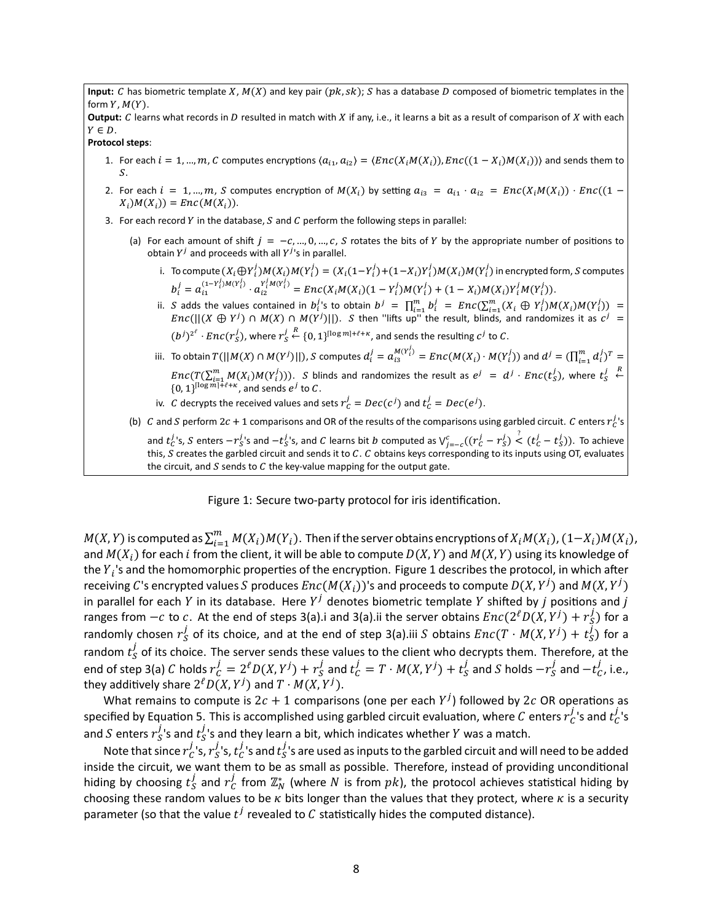**Input:** C has biometric template X,  $M(X)$  and key pair  $(pk, sk)$ ; S has a database D composed of biometric templates in the form  $Y$ ,  $M(Y)$ .

**Output:** C learns what records in D resulted in match with X if any, i.e., it learns a bit as a result of comparison of X with each  $Y \in D$ .

**Protocol steps**:

- 1. For each  $i = 1, ..., m$ , C computes encryptions  $\langle a_{i_1}, a_{i_2} \rangle = \langle Enc(X_i M(X_i)) \rangle, Enc((1 X_i) M(X_i)) \rangle$  and sends them to  $S$ .
- 2. For each  $i = 1, ..., m$ , S computes encryption of  $M(X_i)$  by setting  $a_{i3} = a_{i1} \cdot a_{i2} = Enc(X_iM(X_i)) \cdot Enc((1 X_i$ ) $M(X_i)$  =  $Enc(M(X_i))$ .
- 3. For each record Y in the database, S and C perform the following steps in parallel:
	- (a) For each amount of shift  $j = -c, ..., 0, ..., c$ , S rotates the bits of Y by the appropriate number of positions to obtain  $Y^j$  and proceeds with all  $Y^j$ 's in parallel.
		- i. To compute  $(X_i\oplus Y_i^j)M(X_i)M(Y_i^j)=(X_i(1-Y_i^j)+(1-X_i)Y_i^j)M(X_i)M(Y_i^j)$  in encrypted form,  $S$  computes  $b_i^j = a_{i1}^{(1-Y_i^j)M(Y_i^j)} \cdot a_{i2}^{Y_i^jM(Y_i^j)} = Enc(X_iM(X_i)(1-Y_i^j)M(Y_i^j) + (1-X_i)M(X_i)Y_i^jM(Y_i^j)).$
		- ii. S adds the values contained in  $b_i^j$ 's to obtain  $b^j = \prod_{i=1}^m b_i^j = Enc(\sum_{i=1}^m (X_i \oplus Y_i^j)M(X_i)M(Y_i^j)) =$  $Enc(||(X \oplus Y^j) \cap M(X) \cap M(Y^j)||)$ . S then "lifts up" the result, blinds, and randomizes it as  $c^j =$  $(b^j)^{2^\ell} \cdot \mathit{Enc}(r_S^j)$ , where  $r_S^j$  $\stackrel{R}{\leftarrow}$  {0, 1}<sup>[log m]+ $\ell$ + $\kappa$ , and sends the resulting  $c^{j}$  to C.</sup>
		- iii. To obtain  $T(|[M(X) \cap M(Y^j)|]),$   $S$  computes  $d_i^j = a_{i3}^{M(Y^j_i)} = Enc(M(X_i) \cdot M(Y^j_i))$  and  $d^j = (\prod_{i=1}^m d_i^j)^T =$  $Enc(T(\sum_{i=1}^m M(X_i)M(Y_i^j)))$ . S blinds and randomizes the result as  $e^j = d^j \cdot Enc(t^j_S)$ , where  $t^j_S$  $\overset{R}{\leftarrow}$  $\{0, 1\}^{\lceil \log m \rceil + \ell + \kappa}$ , and sends  $e^j$  to C.
		- iv. C decrypts the received values and sets  $r_c^j = Dec(c^j)$  and  $t_c^j = Dec(e^j)$ .

(b) C and S perform 2c + 1 comparisons and OR of the results of the comparisons using garbled circuit. C enters  $r_c^j$ 's and  $t_c^j$ s, S enters  $-r_s^j$ 's and  $-t_s^j$ 's, and C learns bit b computed as  $V_{j=-c}^c((r_c^j-r_S^j) \stackrel{?}{\leq} (t_c^j-t_s^j))$ . To achieve this, S creates the garbled circuit and sends it to C. C obtains keys corresponding to its inputs using OT, evaluates the circuit, and  $S$  sends to  $C$  the key-value mapping for the output gate.

Figure 1: Secure two-party protocol for iris identification.

 $M(X,Y)$  is computed as  $\sum_{i=1}^m M(X_i) M(Y_i)$ . Then if the server obtains encryptions of  $X_iM(X_i)$ ,  $(1{-}X_i)M(X_i)$ , and  $M(X_i)$  for each *i* from the client, it will be able to compute  $D(X, Y)$  and  $M(X, Y)$  using its knowledge of the  $Y_i$ 's and the homomorphic properties of the encryption. Figure 1 describes the protocol, in which after receiving  $C$ 's encrypted values  $S$  produces  $Enc(M(X_i))$ 's and proceeds to compute  $D(X, Y^j)$  and  $M(X, Y^j)$ in parallel for each Y in its database. Here  $Y^j$  denotes biometric template Y shifted by  $j$  positions and  $j$ ranges from  $-c$  to  $c$ . At the end of steps 3(a).i and 3(a).ii the server obtains  $Enc(2^{\ell}D(X,Y^j) + r_S^j)$  for a randomly chosen  $r_S^j$  of its choice, and at the end of step 3(a).iii S obtains  $Enc(T\cdot M(X,Y^j) + t_S^j)$  for a random  $t_S^j$  of its choice. The server sends these values to the client who decrypts them. Therefore, at the end of step 3(a)  $C$  holds  $r^j_C=2^\ell D(X,Y^j)+r^j_S$  and  $t^j_C=T\cdot M(X,Y^j)+t^j_S$  and  $S$  holds  $-r^j_S$  $_s^j$  and  $-t_C^j$ , i.e., they additively share  $2^\ell D(X,Y^j)$  and  $T\cdot M(X,Y^j)$ .

What remains to compute is  $2c + 1$  comparisons (one per each  $Y^j$ ) followed by  $2c$  OR operations as specified by Equation 5. This is accomplished using garbled circuit evaluation, where  $C$  enters  $r_C^j$  $_c^j$ 's and  $t_c^j$  $C^{\prime}$ s and  $S$  enters  $r_S^{\hat J}$  $_s^j$ 's and  $t^j_{\mathcal{S}}$  $S^{\prime}$ 's and they learn a bit, which indicates whether Y was a match.

Note that since  $r_{C}^{j}$  $_{\mathcal{C}}^{j}$ 's,  $r_{\mathcal{S}}^{j}$  $_s^j$ 's,  $t_c^j$  $_c^j$ 's and  $t^j_{\mathcal{S}}$  $S^{\prime}$ s are used as inputs to the garbled circuit and will need to be added inside the circuit, we want them to be as small as possible. Therefore, instead of providing unconditional hiding by choosing  $t^{\dot J}_S$  $_s^j$  and  $r_\mathcal{C}^j$  $\frac{J}{C}$  from  $\mathbb{Z}_N^*$  (where  $N$  is from  $pk$ ), the protocol achieves statistical hiding by choosing these random values to be  $\kappa$  bits longer than the values that they protect, where  $\kappa$  is a security parameter (so that the value  $t^j$  revealed to  $\mathcal C$  statistically hides the computed distance).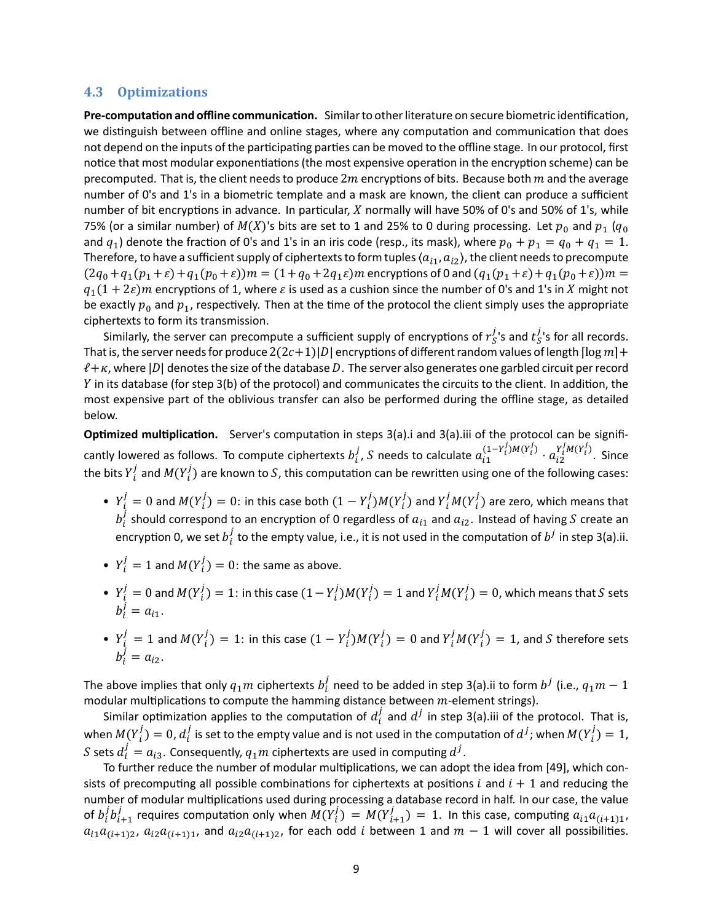#### **4.3 Optimizations**

Pre-computation and offline communication. Similar to other literature on secure biometric identification, we distinguish between offline and online stages, where any computation and communication that does not depend on the inputs of the participating parties can be moved to the offline stage. In our protocol, first notice that most modular exponentiations (the most expensive operation in the encryption scheme) can be precomputed. That is, the client needs to produce  $2m$  encryptions of bits. Because both  $m$  and the average number of 0's and 1's in a biometric template and a mask are known, the client can produce a sufficient number of bit encryptions in advance. In particular,  $X$  normally will have 50% of 0's and 50% of 1's, while 75% (or a similar number) of  $M(X)$ 's bits are set to 1 and 25% to 0 during processing. Let  $p_0$  and  $p_1$  ( $q_0$ and  $q_1$ ) denote the fraction of 0's and 1's in an iris code (resp., its mask), where  $p_0 + p_1 = q_0 + q_1 = 1$ . Therefore, to have a sufficient supply of ciphertexts to form tuples  $\langle a_{i1}, a_{i2} \rangle$ , the client needs to precompute  $(2q_0+q_1(p_1+\varepsilon)+q_1(p_0+\varepsilon))m = (1+q_0+2q_1\varepsilon)m$  encryptions of 0 and  $(q_1(p_1+\varepsilon)+q_1(p_0+\varepsilon))m =$  $q_1(1 + 2\varepsilon)m$  encryptions of 1, where  $\varepsilon$  is used as a cushion since the number of 0's and 1's in X might not be exactly  $p_0$  and  $p_1$ , respectively. Then at the time of the protocol the client simply uses the appropriate ciphertexts to form its transmission.

Similarly, the server can precompute a sufficient supply of encryptions of  $r^j_{S}$  $_s^j$ 's and  $t_S^j$  $S<sub>S</sub>$ 's for all records. That is, the server needs for produce  $2(2c+1)|D|$  encryptions of different random values of length  $\lceil \log m \rceil +$  $\ell + \kappa$ , where |D| denotes the size of the database D. The server also generates one garbled circuit per record Y in its database (for step 3(b) of the protocol) and communicates the circuits to the client. In addition, the most expensive part of the oblivious transfer can also be performed during the offline stage, as detailed below.

**Optimized multiplication.** Server's computation in steps 3(a).i and 3(a).iii of the protocol can be significantly lowered as follows. To compute ciphertexts  $b_i^j$  $\frac{j}{i}$ , S needs to calculate  $a_{i1}^{(1-Y_i^j)M(Y_i^j)}\cdot a_{i2}^{Y_i^jM(Y_i^j)}$ . Since the bits  $\overline{Y}_i^j$  $\frac{j}{i}$  and  $M(Y_i^j)$  are known to  $S$ , this computation can be rewritten using one of the following cases:

- $Y_i^j = 0$  and  $M(Y_i^j) = 0$ : in this case both  $(1 Y_i^j)M(Y_i^j)$  and  $Y_i^jM(Y_i^j)$  are zero, which means that  $b_i^j$  $s_i^{\prime}$  should correspond to an encryption of 0 regardless of  $a_{i1}$  and  $a_{i2}$ . Instead of having S create an encryption 0, we set  $b_i^j$  $\frac{J}{i}$  to the empty value, i.e., it is not used in the computation of  $b^j$  in step 3(a).ii.
- $Y_i^j = 1$  and  $M(Y_i^j) = 0$ : the same as above.
- $Y_i^j = 0$  and  $M(Y_i^j) = 1$ : in this case  $(1 Y_i^j)M(Y_i^j) = 1$  and  $Y_i^jM(Y_i^j) = 0$ , which means that  $S$  sets  $b_i^j = a_{i1}.$
- $Y_i^j = 1$  and  $M(Y_i^j) = 1$ : in this case  $(1 Y_i^j)M(Y_i^j) = 0$  and  $Y_i^jM(Y_i^j) = 1$ , and S therefore sets  $b_i^j = a_{i2}.$

The above implies that only  $q_1m$  ciphertexts  $b_i^j$  $\frac{j}{i}$  need to be added in step 3(a).ii to form  $b^j$  (i.e.,  $q_1m-1$ modular multiplications to compute the hamming distance between  $m$ -element strings).

Similar optimization applies to the computation of  $d_i^j$  $i$  and  $d^{j}$  in step 3(a).iii of the protocol. That is, when  $M(Y_i^j) = 0$ ,  $d_i^j$  $\frac{j}{i}$  is set to the empty value and is not used in the computation of  $d^j$ ; when  $M(Y^j_t)=1$ , S sets  $d_i^j = a_{i3}$ . Consequently,  $q_1m$  ciphertexts are used in computing  $d^j$ .

To further reduce the number of modular multiplications, we can adopt the idea from [49], which consists of precomputing all possible combinations for ciphertexts at positions  $i$  and  $i + 1$  and reducing the number of modular multiplications used during processing a database record in half. In our case, the value of  $b_i^j$  $i^j b^j_{i+1}$  requires computation only when  $M(Y^j_i) = M(Y^j_{i+1}) = 1$ . In this case, computing  $a_{i1}a_{(i+1)1}$ ,  $a_{i1}a_{(i+1)2}$ ,  $a_{i2}a_{(i+1)1}$ , and  $a_{i2}a_{(i+1)2}$ , for each odd *i* between 1 and  $m-1$  will cover all possibilities.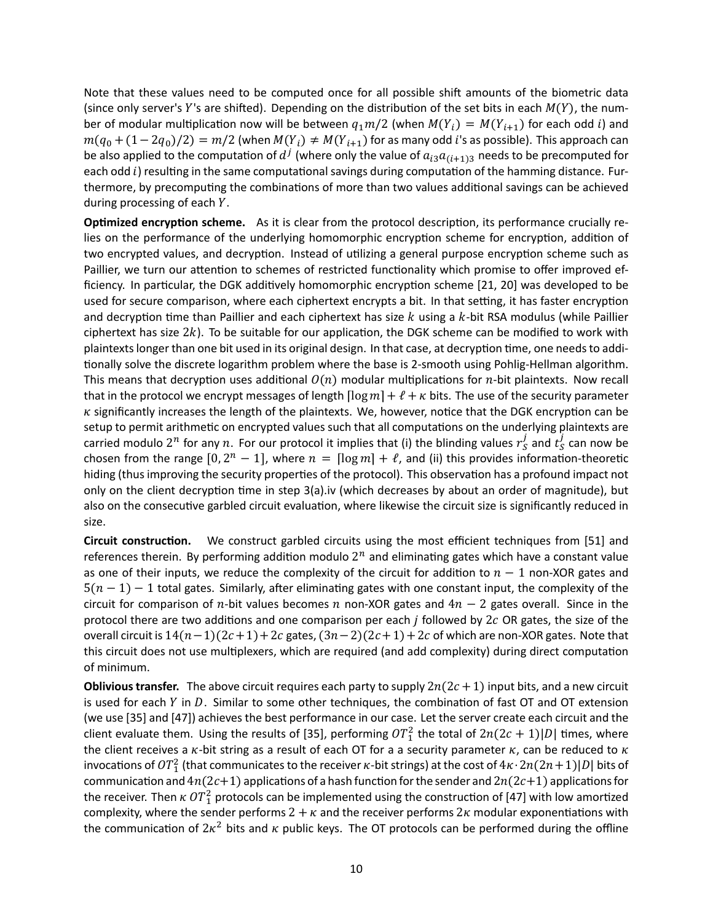Note that these values need to be computed once for all possible shift amounts of the biometric data (since only server's Y's are shifted). Depending on the distribution of the set bits in each  $M(Y)$ , the number of modular multiplication now will be between  $q_1m/2$  (when  $M(Y_i) = M(Y_{i+1})$  for each odd i) and  $m(q_0 + (1 - 2q_0)/2) = m/2$  (when  $M(Y_i) \neq M(Y_{i+1})$  for as many odd *i*'s as possible). This approach can be also applied to the computation of  $d^{\,j}$  (where only the value of  $a_{i3}a_{(i+1)3}$  needs to be precomputed for each odd  $i$ ) resulting in the same computational savings during computation of the hamming distance. Furthermore, by precomputing the combinations of more than two values additional savings can be achieved during processing of each  $Y$ .

**Optimized encryption scheme.** As it is clear from the protocol description, its performance crucially relies on the performance of the underlying homomorphic encryption scheme for encryption, addition of two encrypted values, and decryption. Instead of utilizing a general purpose encryption scheme such as Paillier, we turn our attention to schemes of restricted functionality which promise to offer improved efficiency. In particular, the DGK additively homomorphic encryption scheme [21, 20] was developed to be used for secure comparison, where each ciphertext encrypts a bit. In that setting, it has faster encryption and decryption time than Paillier and each ciphertext has size  $k$  using a  $k$ -bit RSA modulus (while Paillier ciphertext has size  $2k$ ). To be suitable for our application, the DGK scheme can be modified to work with plaintexts longer than one bit used in its original design. In that case, at decryption time, one needs to additionally solve the discrete logarithm problem where the base is 2-smooth using Pohlig-Hellman algorithm. This means that decryption uses additional  $O(n)$  modular multiplications for *n*-bit plaintexts. Now recall that in the protocol we encrypt messages of length  $\lceil \log m \rceil + \ell + \kappa$  bits. The use of the security parameter  $\kappa$  significantly increases the length of the plaintexts. We, however, notice that the DGK encryption can be setup to permit arithmetic on encrypted values such that all computations on the underlying plaintexts are carried modulo  $2^n$  for any  $n$ . For our protocol it implies that (i) the blinding values  $r_S^j$  $\frac{j}{s}$  and  $\frac{j}{s}$  $\frac{1}{S}$  can now be chosen from the range  $[0, 2^n - 1]$ , where  $n = \lceil \log m \rceil + \ell$ , and (ii) this provides information-theoretic hiding (thus improving the security properties of the protocol). This observation has a profound impact not only on the client decryption time in step 3(a).iv (which decreases by about an order of magnitude), but also on the consecutive garbled circuit evaluation, where likewise the circuit size is significantly reduced in size.

**Circuit construction.** We construct garbled circuits using the most efficient techniques from [51] and references therein. By performing addition modulo  $2^n$  and eliminating gates which have a constant value as one of their inputs, we reduce the complexity of the circuit for addition to  $n-1$  non-XOR gates and  $5(n - 1) - 1$  total gates. Similarly, after eliminating gates with one constant input, the complexity of the circuit for comparison of n-bit values becomes n non-XOR gates and  $4n - 2$  gates overall. Since in the protocol there are two additions and one comparison per each  $j$  followed by  $2c$  OR gates, the size of the overall circuit is  $14(n-1)(2c+1)+2c$  gates,  $(3n-2)(2c+1)+2c$  of which are non-XOR gates. Note that this circuit does not use multiplexers, which are required (and add complexity) during direct computation of minimum.

**Oblivious transfer.** The above circuit requires each party to supply  $2n(2c + 1)$  input bits, and a new circuit is used for each  $Y$  in  $D$ . Similar to some other techniques, the combination of fast OT and OT extension (we use [35] and [47]) achieves the best performance in our case. Let the server create each circuit and the client evaluate them. Using the results of [35], performing  $OT_1^2$  the total of  $2n(2c + 1)|D|$  times, where the client receives a  $\kappa$ -bit string as a result of each OT for a a security parameter  $\kappa$ , can be reduced to  $\kappa$ invocations of  $OT_1^2$  (that communicates to the receiver  $\kappa$ -bit strings) at the cost of  $4\kappa\cdot 2n(2n+1)|D|$  bits of communication and  $4n(2c+1)$  applications of a hash function for the sender and  $2n(2c+1)$  applications for the receiver. Then  $\kappa$   $OT_1^2$  protocols can be implemented using the construction of [47] with low amortized complexity, where the sender performs  $2 + \kappa$  and the receiver performs  $2\kappa$  modular exponentiations with the communication of  $2\kappa^2$  bits and  $\kappa$  public keys. The OT protocols can be performed during the offline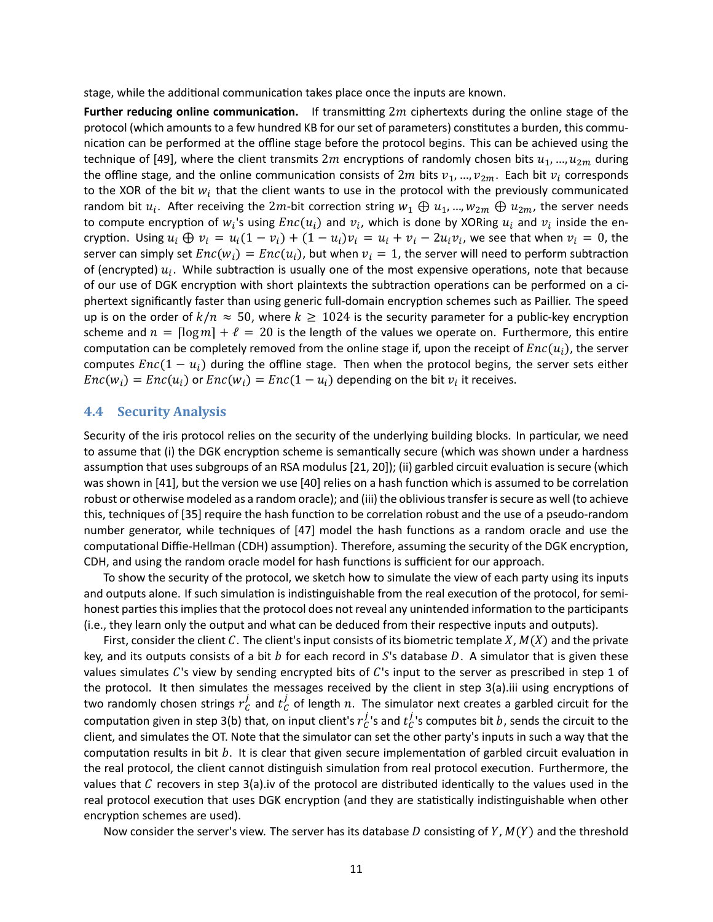stage, while the additional communication takes place once the inputs are known.

**Further reducing online communication.** If transmitting 2m ciphertexts during the online stage of the protocol (which amounts to a few hundred KB for our set of parameters) constitutes a burden, this communication can be performed at the offline stage before the protocol begins. This can be achieved using the technique of [49], where the client transmits  $2m$  encryptions of randomly chosen bits  $u_1$ , ...,  $u_{2m}$  during the offline stage, and the online communication consists of  $2m$  bits  $v_1, ..., v_{2m}$ . Each bit  $v_i$  corresponds to the XOR of the bit  $w_i$  that the client wants to use in the protocol with the previously communicated random bit  $u_i$ . After receiving the  $2m$ -bit correction string  $w_1 \oplus u_1$ , ...,  $w_{2m} \oplus u_{2m}$ , the server needs to compute encryption of  $w_i$ 's using  $Enc(u_i)$  and  $v_i$ , which is done by XORing  $u_i$  and  $v_i$  inside the encryption. Using  $u_i \oplus v_i = u_i(1 - v_i) + (1 - u_i)v_i = u_i + v_i - 2u_iv_i$ , we see that when  $v_i = 0$ , the server can simply set  $Enc(w_i) = Enc(u_i)$ , but when  $v_i = 1$ , the server will need to perform subtraction of (encrypted)  $u_i$ . While subtraction is usually one of the most expensive operations, note that because of our use of DGK encryption with short plaintexts the subtraction operations can be performed on a ciphertext significantly faster than using generic full-domain encryption schemes such as Paillier. The speed up is on the order of  $k/n \approx 50$ , where  $k \ge 1024$  is the security parameter for a public-key encryption scheme and  $n = \lceil \log m \rceil + \ell = 20$  is the length of the values we operate on. Furthermore, this entire computation can be completely removed from the online stage if, upon the receipt of  $Enc(u_i)$ , the server computes  $Enc(1 - u_i)$  during the offline stage. Then when the protocol begins, the server sets either  $Enc(w_i) = Enc(u_i)$  or  $Enc(w_i) = Enc(1 - u_i)$  depending on the bit  $v_i$  it receives.

#### **4.4 Security Analysis**

Security of the iris protocol relies on the security of the underlying building blocks. In particular, we need to assume that (i) the DGK encryption scheme is semantically secure (which was shown under a hardness assumption that uses subgroups of an RSA modulus [21, 20]); (ii) garbled circuit evaluation is secure (which was shown in [41], but the version we use [40] relies on a hash function which is assumed to be correlation robust or otherwise modeled as a random oracle); and (iii) the oblivious transfer is secure as well (to achieve this, techniques of [35] require the hash function to be correlation robust and the use of a pseudo-random number generator, while techniques of [47] model the hash functions as a random oracle and use the computational Diffie-Hellman (CDH) assumption). Therefore, assuming the security of the DGK encryption, CDH, and using the random oracle model for hash functions is sufficient for our approach.

To show the security of the protocol, we sketch how to simulate the view of each party using its inputs and outputs alone. If such simulation is indistinguishable from the real execution of the protocol, for semihonest parties this implies that the protocol does not reveal any unintended information to the participants (i.e., they learn only the output and what can be deduced from their respective inputs and outputs).

First, consider the client C. The client's input consists of its biometric template X,  $M(X)$  and the private key, and its outputs consists of a bit b for each record in S's database D. A simulator that is given these values simulates  $C$ 's view by sending encrypted bits of  $C$ 's input to the server as prescribed in step 1 of the protocol. It then simulates the messages received by the client in step  $3(a)$ .iii using encryptions of two randomly chosen strings  $r_C^j$  $\frac{j}{c}$  and  $t_{C}^{j}$  of length  $n$ . The simulator next creates a garbled circuit for the computation given in step 3(b) that, on input client's  $r_c^j$  $_c^j$ 's and  $t_c^j$  $C<sub>C</sub>$ 's computes bit  $b$ , sends the circuit to the client, and simulates the OT. Note that the simulator can set the other party's inputs in such a way that the computation results in bit  $b$ . It is clear that given secure implementation of garbled circuit evaluation in the real protocol, the client cannot distinguish simulation from real protocol execution. Furthermore, the values that  $C$  recovers in step 3(a).iv of the protocol are distributed identically to the values used in the real protocol execution that uses DGK encryption (and they are statistically indistinguishable when other encryption schemes are used).

Now consider the server's view. The server has its database D consisting of Y,  $M(Y)$  and the threshold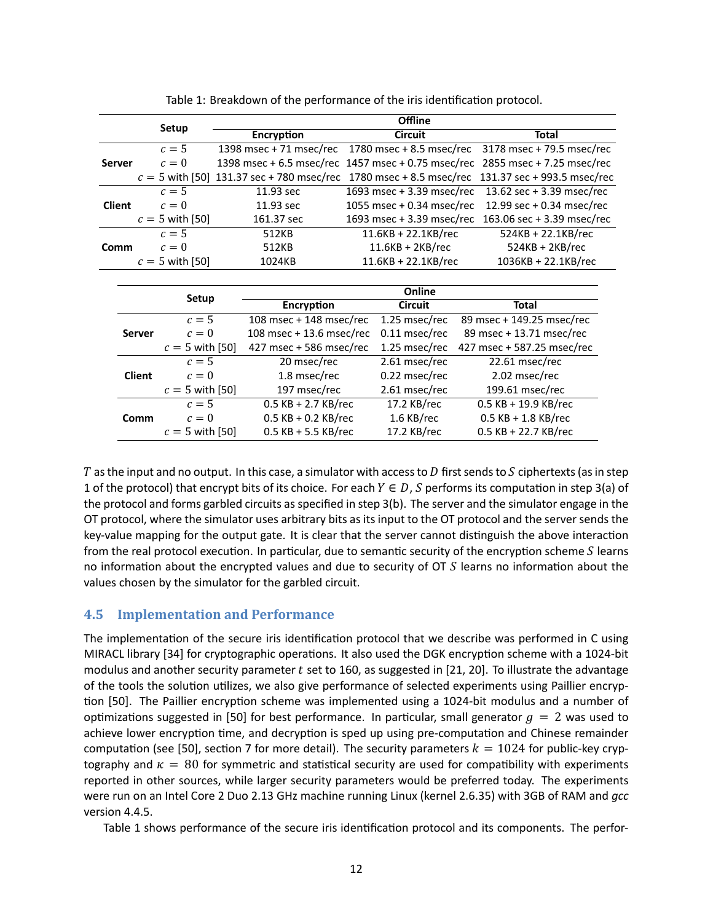|               |               | Setup             |                                                    | <b>Offline</b>           |                           |                       |  |                             |                             |  |
|---------------|---------------|-------------------|----------------------------------------------------|--------------------------|---------------------------|-----------------------|--|-----------------------------|-----------------------------|--|
|               |               |                   | <b>Encryption</b>                                  |                          |                           | <b>Circuit</b>        |  |                             | <b>Total</b>                |  |
|               |               | $c=5$             | 1398 msec + 71 msec/rec                            |                          | 1780 msec + 8.5 msec/rec  |                       |  |                             | $3178$ msec + 79.5 msec/rec |  |
| <b>Server</b> |               | $c=0$             | 1398 msec + 6.5 msec/rec 1457 msec + 0.75 msec/rec |                          |                           |                       |  |                             | 2855 msec + 7.25 msec/rec   |  |
|               |               |                   | $c = 5$ with [50] 131.37 sec + 780 msec/rec        |                          | 1780 msec + 8.5 msec/rec  |                       |  | 131.37 sec + 993.5 msec/rec |                             |  |
|               |               | $c=5$             | 11.93 sec                                          |                          | 1693 msec + 3.39 msec/rec |                       |  |                             | 13.62 sec + 3.39 msec/rec   |  |
| <b>Client</b> |               | $c=0$             | 11.93 sec                                          |                          | 1055 msec + 0.34 msec/rec |                       |  |                             | 12.99 sec + 0.34 msec/rec   |  |
|               |               | $c = 5$ with [50] | 161.37 sec                                         |                          | 1693 msec + 3.39 msec/rec |                       |  |                             | 163.06 sec + 3.39 msec/rec  |  |
|               |               | $c=5$             | 512KB                                              |                          |                           | $11.6KB + 22.1KB/rec$ |  |                             | 524KB + 22.1KB/rec          |  |
| Comm          |               | $c=0$             | 512KB                                              |                          |                           | $11.6KB + 2KB/rec$    |  |                             | $524KB + 2KB$ /rec          |  |
|               |               | $c = 5$ with [50] | 1024KB                                             |                          |                           | $11.6KB + 22.1KB/rec$ |  |                             | 1036KB + 22.1KB/rec         |  |
|               |               |                   |                                                    |                          |                           |                       |  |                             |                             |  |
|               |               | Setup             |                                                    | Online                   |                           |                       |  |                             |                             |  |
|               |               |                   |                                                    | Encryption               |                           | <b>Circuit</b>        |  | <b>Total</b>                |                             |  |
|               |               | $c=5$             |                                                    | 108 msec + 148 msec/rec  |                           | 1.25 msec/rec         |  | 89 msec + 149.25 msec/rec   |                             |  |
|               | <b>Server</b> | $c=0$             |                                                    | 108 msec + 13.6 msec/rec |                           | 0.11 msec/rec         |  | 89 msec + 13.71 msec/rec    |                             |  |
|               |               | $c = 5$ with [50] |                                                    | 427 msec + 586 msec/rec  |                           | 1.25 msec/rec         |  | 427 msec + 587.25 msec/rec  |                             |  |
|               |               | $c=5$             |                                                    | 20 msec/rec              |                           | 2.61 msec/rec         |  | 22.61 msec/rec              |                             |  |
|               | <b>Client</b> | $c=0$             |                                                    | 1.8 msec/rec             |                           | 0.22 msec/rec         |  | 2.02 msec/rec               |                             |  |
|               |               | $c = 5$ with [50] |                                                    | 197 msec/rec             |                           | 2.61 msec/rec         |  | 199.61 msec/rec             |                             |  |
|               |               | $c=5$             |                                                    | $0.5$ KB + 2.7 KB/rec    |                           | 17.2 KB/rec           |  | 0.5 KB + 19.9 KB/rec        |                             |  |
|               | Comm          | $c=0$             |                                                    | $0.5$ KB + 0.2 KB/rec    |                           | 1.6 KB/rec            |  | $0.5$ KB + 1.8 KB/rec       |                             |  |
|               |               | $c = 5$ with [50] |                                                    | $0.5$ KB + 5.5 KB/rec    |                           | 17.2 KB/rec           |  | $0.5$ KB + 22.7 KB/rec      |                             |  |

Table 1: Breakdown of the performance of the iris identification protocol.

T as the input and no output. In this case, a simulator with access to D first sends to S ciphertexts (as in step 1 of the protocol) that encrypt bits of its choice. For each  $Y \in D$ , S performs its computation in step 3(a) of the protocol and forms garbled circuits as specified in step 3(b). The server and the simulator engage in the OT protocol, where the simulator uses arbitrary bits as its input to the OT protocol and the server sends the key-value mapping for the output gate. It is clear that the server cannot distinguish the above interaction from the real protocol execution. In particular, due to semantic security of the encryption scheme  $S$  learns no information about the encrypted values and due to security of  $\sigma S$  learns no information about the values chosen by the simulator for the garbled circuit.

## **4.5 Implementation and Performance**

The implementation of the secure iris identification protocol that we describe was performed in C using MIRACL library [34] for cryptographic operations. It also used the DGK encryption scheme with a 1024-bit modulus and another security parameter  $t$  set to 160, as suggested in [21, 20]. To illustrate the advantage of the tools the solution utilizes, we also give performance of selected experiments using Paillier encryption [50]. The Paillier encryption scheme was implemented using a 1024-bit modulus and a number of optimizations suggested in [50] for best performance. In particular, small generator  $g = 2$  was used to achieve lower encryption time, and decryption is sped up using pre-computation and Chinese remainder computation (see [50], section 7 for more detail). The security parameters  $k = 1024$  for public-key cryptography and  $\kappa = 80$  for symmetric and statistical security are used for compatibility with experiments reported in other sources, while larger security parameters would be preferred today. The experiments were run on an Intel Core 2 Duo 2.13 GHz machine running Linux (kernel 2.6.35) with 3GB of RAM and *gcc* version 4.4.5.

Table 1 shows performance of the secure iris identification protocol and its components. The perfor-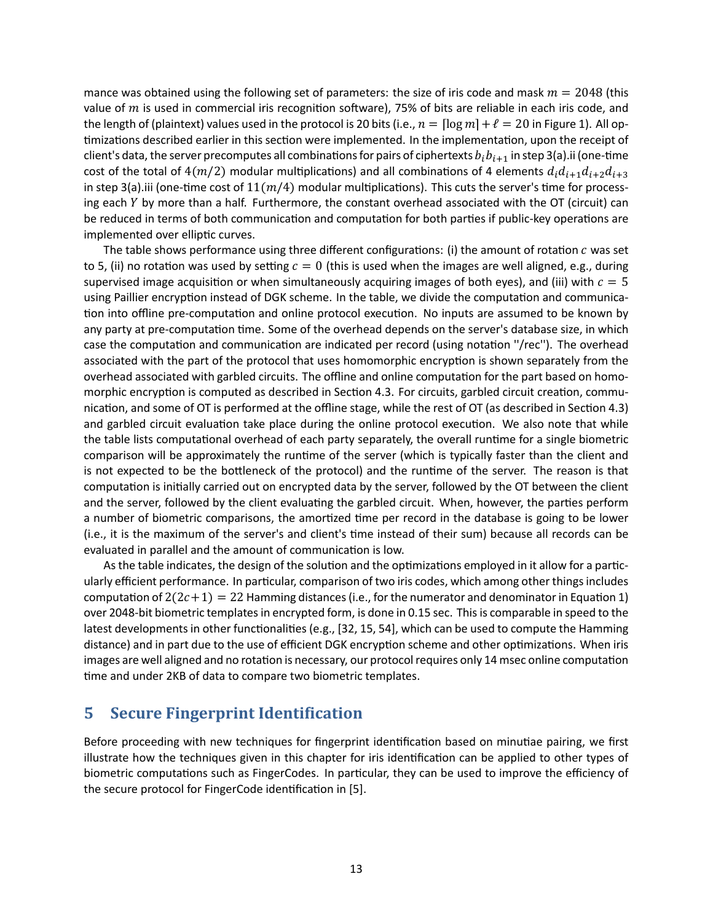mance was obtained using the following set of parameters: the size of iris code and mask  $m = 2048$  (this value of  $m$  is used in commercial iris recognition software), 75% of bits are reliable in each iris code, and the length of (plaintext) values used in the protocol is 20 bits (i.e.,  $n = \lceil \log m \rceil + \ell = 20$  in Figure 1). All optimizations described earlier in this section were implemented. In the implementation, upon the receipt of client's data, the server precomputes all combinations for pairs of ciphertexts  $b_i b_{i+1}$  in step 3(a).ii (one-time cost of the total of  $4(m/2)$  modular multiplications) and all combinations of 4 elements  $d_i d_{i+1} d_{i+2} d_{i+3}$ in step 3(a).iii (one-time cost of  $11(m/4)$  modular multiplications). This cuts the server's time for processing each  $Y$  by more than a half. Furthermore, the constant overhead associated with the OT (circuit) can be reduced in terms of both communication and computation for both parties if public-key operations are implemented over elliptic curves.

The table shows performance using three different configurations: (i) the amount of rotation  $c$  was set to 5, (ii) no rotation was used by setting  $c = 0$  (this is used when the images are well aligned, e.g., during supervised image acquisition or when simultaneously acquiring images of both eyes), and (iii) with  $c = 5$ using Paillier encryption instead of DGK scheme. In the table, we divide the computation and communication into offline pre-computation and online protocol execution. No inputs are assumed to be known by any party at pre-computation time. Some of the overhead depends on the server's database size, in which case the computation and communication are indicated per record (using notation "/rec"). The overhead associated with the part of the protocol that uses homomorphic encryption is shown separately from the overhead associated with garbled circuits. The offline and online computation for the part based on homomorphic encryption is computed as described in Section 4.3. For circuits, garbled circuit creation, communication, and some of OT is performed at the offline stage, while the rest of OT (as described in Section 4.3) and garbled circuit evaluation take place during the online protocol execution. We also note that while the table lists computational overhead of each party separately, the overall runtime for a single biometric comparison will be approximately the runtime of the server (which is typically faster than the client and is not expected to be the bottleneck of the protocol) and the runtime of the server. The reason is that computation is initially carried out on encrypted data by the server, followed by the OT between the client and the server, followed by the client evaluating the garbled circuit. When, however, the parties perform a number of biometric comparisons, the amortized time per record in the database is going to be lower (i.e., it is the maximum of the server's and client's time instead of their sum) because all records can be evaluated in parallel and the amount of communication is low.

As the table indicates, the design of the solution and the optimizations employed in it allow for a particularly efficient performance. In particular, comparison of two iris codes, which among other things includes computation of  $2(2c+1) = 22$  Hamming distances (i.e., for the numerator and denominator in Equation 1) over 2048-bit biometric templates in encrypted form, is done in 0.15 sec. This is comparable in speed to the latest developments in other functionalities (e.g., [32, 15, 54], which can be used to compute the Hamming distance) and in part due to the use of efficient DGK encryption scheme and other optimizations. When iris images are well aligned and no rotation is necessary, our protocol requires only 14 msec online computation time and under 2KB of data to compare two biometric templates.

# **5 Secure Fingerprint Identification**

Before proceeding with new techniques for fingerprint identification based on minutiae pairing, we first illustrate how the techniques given in this chapter for iris identification can be applied to other types of biometric computations such as FingerCodes. In particular, they can be used to improve the efficiency of the secure protocol for FingerCode identification in [5].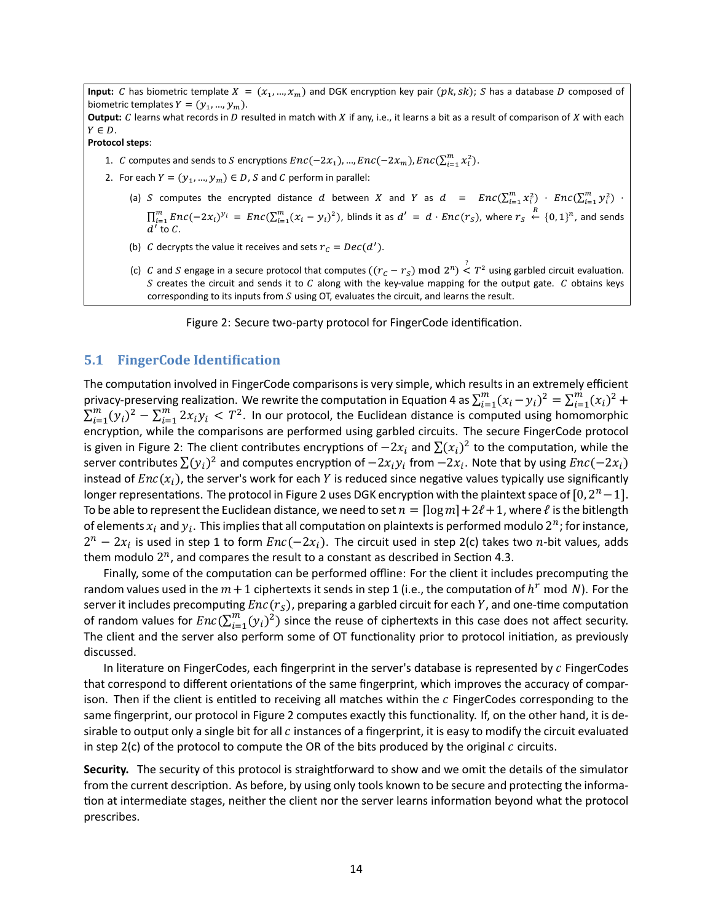**Input:** C has biometric template  $X = (x_1, ..., x_m)$  and DGK encryption key pair  $(pk, sk)$ ; S has a database D composed of biometric templates  $Y = (y_1, ..., y_m)$ .

**Output:** C learns what records in D resulted in match with X if any, i.e., it learns a bit as a result of comparison of X with each  $Y \in D$ .

**Protocol steps**:

- 1. C computes and sends to S encryptions  $Enc(-2x_1)$ , ...,  $Enc(-2x_m)$ ,  $Enc(\sum_{i=1}^{m} x_i^2)$ .
- 2. For each  $Y = (y_1, ..., y_m) \in D$ , S and C perform in parallel:
	- (a) S computes the encrypted distance d between X and Y as  $d = Enc(\sum_{i=1}^{m} x_i^2) + Enc(\sum_{i=1}^{m} y_i^2)$  ·  $i$ <sup>;</sup>  $i$ <sup>i</sup>  $\mu$   $\cup$   $\mu$ <sub>i=1</sub> $\mu$ <sub>i</sub>  $\prod_{i=1}^m Enc(-2x_i)^{y_i} = Enc(\sum_{i=1}^m (x_i - y_i)^2)$ , blinds it as  $d' = d \cdot Enc(r_s)$ , where  $r_s \stackrel{R}{\leftarrow} \{0, 1\}^n$ , and sends  $d'$  to  $C$ .
	- (b) C decrypts the value it receives and sets  $r_c = Dec(d').$
	- (c) C and S engage in a secure protocol that computes  $((r_c r_s) \text{ mod } 2^n) \stackrel{?}{\leq} T^2$  using garbled circuit evaluation. S creates the circuit and sends it to C along with the key-value mapping for the output gate. C obtains keys corresponding to its inputs from  $S$  using OT, evaluates the circuit, and learns the result.

Figure 2: Secure two-party protocol for FingerCode identification.

#### **5.1 FingerCode Identification**

The computation involved in FingerCode comparisons is very simple, which results in an extremely efficient privacy-preserving realization. We rewrite the computation in Equation 4 as  $\sum_{i=1}^m (x_i-y_i)^2 = \sum_{i=1}^m (x_i)^2 +$  $\sum_{i=1}^m (y_i)^2 - \sum_{i=1}^m 2x_iy_i \leq T^2$ . In our protocol, the Euclidean distance is computed using homomorphic encryption, while the comparisons are performed using garbled circuits. The secure FingerCode protocol is given in Figure 2: The client contributes encryptions of  $-2x_i$  and  $\sum (x_i)^2$  to the computation, while the server contributes  $\sum (y_i)^2$  and computes encryption of  $-2x_i y_i$  from  $-2x_i$ . Note that by using  $Enc(-2x_i)$ instead of  $Enc(x_i)$ , the server's work for each Y is reduced since negative values typically use significantly longer representations. The protocol in Figure 2 uses DGK encryption with the plaintext space of  $[0, 2<sup>n</sup> - 1]$ . To be able to represent the Euclidean distance, we need to set  $n = \lceil \log m \rceil + 2\ell + 1$ , where  $\ell$  is the bitlength of elements  $x_i$  and  $y_i$ . This implies that all computation on plaintexts is performed modulo  $2^n$ ; for instance,  $2^n - 2x_i$  is used in step 1 to form  $Enc(-2x_i)$ . The circuit used in step 2(c) takes two n-bit values, adds them modulo  $2^n$ , and compares the result to a constant as described in Section 4.3.

Finally, some of the computation can be performed offline: For the client it includes precomputing the random values used in the  $m+1$  ciphertexts it sends in step 1 (i.e., the computation of  $h^r \bmod N$ ). For the server it includes precomputing  $Enc(r<sub>S</sub>)$ , preparing a garbled circuit for each Y, and one-time computation of random values for  $Enc(\sum_{i=1}^{m} (y_i)^2)$  since the reuse of ciphertexts in this case does not affect security. The client and the server also perform some of OT functionality prior to protocol initiation, as previously discussed.

In literature on FingerCodes, each fingerprint in the server's database is represented by  $c$  FingerCodes that correspond to different orientations of the same fingerprint, which improves the accuracy of comparison. Then if the client is entitled to receiving all matches within the  $c$  FingerCodes corresponding to the same fingerprint, our protocol in Figure 2 computes exactly this functionality. If, on the other hand, it is desirable to output only a single bit for all c instances of a fingerprint, it is easy to modify the circuit evaluated in step  $2(c)$  of the protocol to compute the OR of the bits produced by the original  $c$  circuits.

**Security.** The security of this protocol is straightforward to show and we omit the details of the simulator from the current description. As before, by using only tools known to be secure and protecting the information at intermediate stages, neither the client nor the server learns information beyond what the protocol prescribes.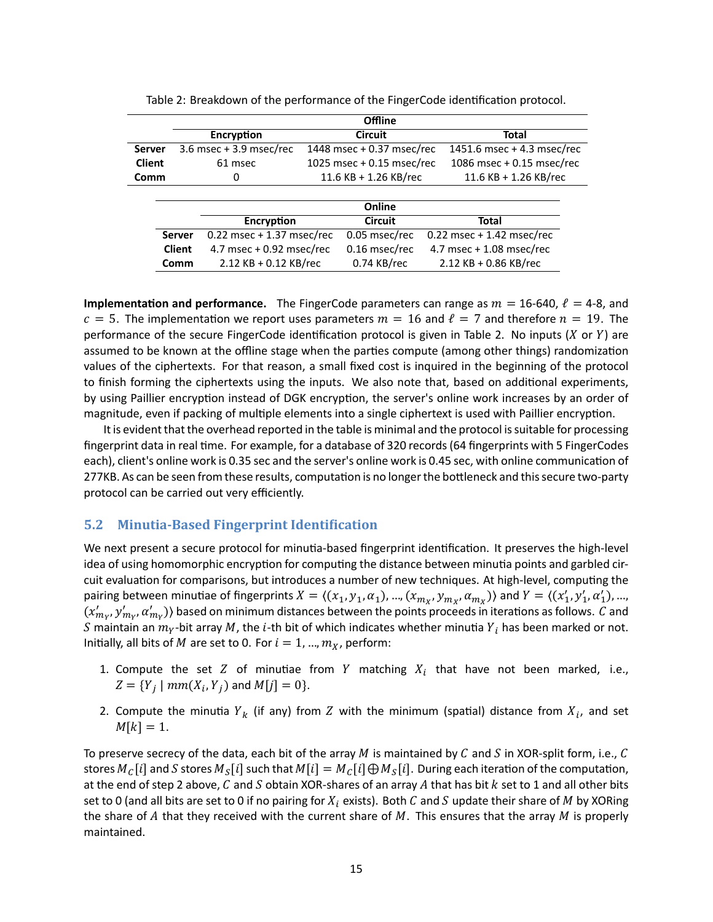|               |               | Offline                     |  |                           |  |                             |  |
|---------------|---------------|-----------------------------|--|---------------------------|--|-----------------------------|--|
|               |               | Encryption                  |  | Circuit                   |  | Total                       |  |
| <b>Server</b> |               | 3.6 msec + 3.9 msec/rec     |  | 1448 msec + 0.37 msec/rec |  | 1451.6 msec + 4.3 msec/rec  |  |
| <b>Client</b> |               | 61 msec                     |  | 1025 msec + 0.15 msec/rec |  | 1086 msec + 0.15 msec/rec   |  |
| Comm          |               | 0                           |  | 11.6 KB + 1.26 KB/rec     |  | $11.6$ KB + 1.26 KB/rec     |  |
|               |               |                             |  |                           |  |                             |  |
|               |               |                             |  | Online                    |  |                             |  |
|               |               | <b>Encryption</b>           |  | <b>Circuit</b>            |  | Total                       |  |
|               | <b>Server</b> | $0.22$ msec + 1.37 msec/rec |  | 0.05 msec/rec             |  | $0.22$ msec + 1.42 msec/rec |  |
|               | <b>Client</b> | 4.7 msec + 0.92 msec/rec    |  | 0.16 msec/rec             |  | 4.7 msec + $1.08$ msec/rec  |  |
|               | Comm          | $2.12$ KB + 0.12 KB/rec     |  | $0.74$ KB/rec             |  | $2.12$ KB + 0.86 KB/rec     |  |

| Table 2: Breakdown of the performance of the FingerCode identification protocol. |  |  |  |
|----------------------------------------------------------------------------------|--|--|--|
|----------------------------------------------------------------------------------|--|--|--|

**Implementation and performance.** The FingerCode parameters can range as  $m = 16-640$ ,  $\ell = 4-8$ , and  $c = 5$ . The implementation we report uses parameters  $m = 16$  and  $\ell = 7$  and therefore  $n = 19$ . The performance of the secure FingerCode identification protocol is given in Table 2. No inputs  $(X \text{ or } Y)$  are assumed to be known at the offline stage when the parties compute (among other things) randomization values of the ciphertexts. For that reason, a small fixed cost is inquired in the beginning of the protocol to finish forming the ciphertexts using the inputs. We also note that, based on additional experiments, by using Paillier encryption instead of DGK encryption, the server's online work increases by an order of magnitude, even if packing of multiple elements into a single ciphertext is used with Paillier encryption.

It is evident that the overhead reported in the table is minimal and the protocol is suitable for processing fingerprint data in real time. For example, for a database of 320 records (64 fingerprints with 5 FingerCodes each), client's online work is 0.35 sec and the server's online work is 0.45 sec, with online communication of 277KB. As can be seen from these results, computation is no longer the bottleneck and this secure two-party protocol can be carried out very efficiently.

## **5.2** Minutia-Based Fingerprint Identification

We next present a secure protocol for minutia-based fingerprint identification. It preserves the high-level idea of using homomorphic encryption for computing the distance between minutia points and garbled circuit evaluation for comparisons, but introduces a number of new techniques. At high-level, computing the pairing between minutiae of fingerprints  $X = \langle (x_1, y_1, \alpha_1), ..., (x_{m_X}, y_{m_X}, \alpha_{m_X}) \rangle$  and  $Y = \langle (x'_1, y'_1, \alpha'_1), ..., (x_{m_X}, y_{m_X}, \alpha_{m_X}) \rangle$  $(x'_{m_Y}, y'_{m_Y}, a'_{m_Y})$ ) based on minimum distances between the points proceeds in iterations as follows.  $C$  and S maintain an  $m_Y$ -bit array M, the *i*-th bit of which indicates whether minutia  $Y_i$  has been marked or not. Initially, all bits of M are set to 0. For  $i = 1, ..., m_X$ , perform:

- 1. Compute the set  $Z$  of minutiae from  $Y$  matching  $X_i$  that have not been marked, i.e.,  $Z = \{Y_j \mid mm(X_i, Y_j) \text{ and } M[j] = 0\}.$
- 2. Compute the minutia  $Y_k$  (if any) from  $Z$  with the minimum (spatial) distance from  $X_i$ , and set  $M[k] = 1.$

To preserve secrecy of the data, each bit of the array M is maintained by C and S in XOR-split form, i.e., C stores  $M_C[i]$  and  $S$  stores  $M_S[i]$  such that  $M[i] = M_C[i] \oplus M_S[i]$ . During each iteration of the computation, at the end of step 2 above,  $C$  and  $S$  obtain XOR-shares of an array  $A$  that has bit  $k$  set to 1 and all other bits set to 0 (and all bits are set to 0 if no pairing for  $X_i$  exists). Both C and S update their share of M by XORing the share of A that they received with the current share of  $M$ . This ensures that the array  $M$  is properly maintained.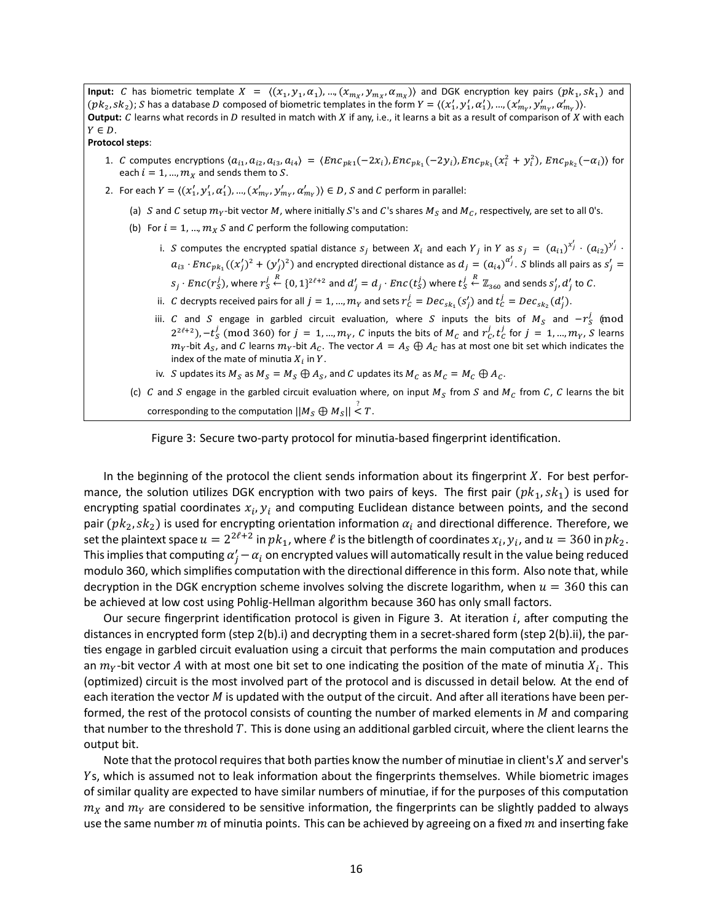**Input:** C has biometric template  $X = \langle (x_1, y_1, \alpha_1), ..., (x_{m_X}, y_{m_X}, \alpha_{m_X}) \rangle$  and DGK encryption key pairs  $(pk_1, sk_1)$  and  $(pk_2, sk_2)$ ; S has a database D composed of biometric templates in the form  $Y = \langle (x'_1, y'_1, \alpha'_1), ..., (x'_{m_Y}, y'_{m_Y}, \alpha'_{m_Y}) \rangle$ . **Output:**  $C$  learns what records in  $D$  resulted in match with  $X$  if any, i.e., it learns a bit as a result of comparison of  $X$  with each  $Y \in D$ . **Protocol steps**: 1. C computes encryptions  $\langle a_{i_1}, a_{i_2}, a_{i_3}, a_{i_4} \rangle = \langle Enc_{pk_1}(-2x_i), Enc_{pk_1}(-2y_i), Enc_{pk_1}(x_i^2 + y_i^2), Enc_{pk_2}(-\alpha_i) \rangle$  for each  $i = 1, ..., m<sub>X</sub>$  and sends them to S. 2. For each  $Y = \langle (x'_1, y'_1, \alpha'_1), ..., (x'_{m_Y}, y'_{m_Y}, \alpha'_{m_Y}) \rangle \in D$ , S and C perform in parallel: (a) S and C setup  $m_Y$ -bit vector M, where initially S's and C's shares  $M_S$  and  $M_C$ , respectively, are set to all 0's. (b) For  $i = 1, ..., m_X S$  and C perform the following computation: i. S computes the encrypted spatial distance  $s_j$  between  $X_i$  and each  $Y_j$  in  $Y$  as  $s_j = (a_{i1})^{x_j'} \cdot (a_{i2})^{y_j'}$  .  $a_{i3} \cdot Enc_{pk_1}((x'_j)^2 + (y'_j)^2)$  and encrypted directional distance as  $d_j = (a_{i4})^{a'_j}$ . S blinds all pairs as  $s'_j$  =  $s_j\cdot Enc(r_S^j)$ , where  $r_S^j$  $\stackrel{R}{\leftarrow}$   $\{0, 1\}^{2\ell+2}$  and  $d'_j = d_j \cdot Enc(t_S^j)$  where  $t_S^j$  $R \leftarrow \mathbb{Z}_{360}$  and sends  $s'_j$ ,  $d'_j$  to C. ii. C decrypts received pairs for all  $j = 1, ..., m_Y$  and sets  $r_c^j = Dec_{sk_1}(s'_j)$  and  $t_c^j = Dec_{sk_2}(d'_j)$ . iii.  $C$  and  $S$  engage in garbled circuit evaluation, where  $S$  inputs the bits of  $M_S$  and  $-r_S^j$  (mod  $(2^{2\ell+2})$ ,  $-t_S^j$  (mod 360) for  $j = 1$ , ...,  $m_Y$ , C inputs the bits of  $M_C$  and  $r_C^j$ ,  $t_C^j$  for  $j = 1$ , ...,  $m_Y$ , S learns  $m_Y$ -bit  $A_S$ , and  $C$  learns  $m_Y$ -bit  $A_C$ . The vector  $A=A_S\oplus A_C$  has at most one bit set which indicates the index of the mate of minutia  $X_i$  in  $Y$ . iv. S updates its  $M_S$  as  $M_S = M_S \oplus A_S$ , and C updates its  $M_C$  as  $M_C = M_C \oplus A_C$ . (c) C and S engage in the garbled circuit evaluation where, on input  $M_s$  from S and  $M_c$  from C, C learns the bit corresponding to the computation  $||M_S \bigoplus M_S|| \overset{?}{\leq} T$ .



In the beginning of the protocol the client sends information about its fingerprint  $X$ . For best performance, the solution utilizes DGK encryption with two pairs of keys. The first pair  $(pk_1, sk_1)$  is used for encrypting spatial coordinates  $x_i, y_i$  and computing Euclidean distance between points, and the second pair ( $pk_2, sk_2$ ) is used for encrypting orientation information  $\alpha_i$  and directional difference. Therefore, we set the plaintext space  $u=2^{2\ell+2}$  in  $pk_1$ , where  $\ell$  is the bitlength of coordinates  $x_i$ ,  $y_i$ , and  $u=360$  in  $pk_2$ . This implies that computing  $\alpha'_j-\alpha_i$  on encrypted values will automatically result in the value being reduced modulo 360, which simplifies computation with the directional difference in this form. Also note that, while decryption in the DGK encryption scheme involves solving the discrete logarithm, when  $u = 360$  this can be achieved at low cost using Pohlig-Hellman algorithm because 360 has only small factors.

Our secure fingerprint identification protocol is given in Figure 3. At iteration  $i$ , after computing the distances in encrypted form (step 2(b).i) and decrypting them in a secret-shared form (step 2(b).ii), the parties engage in garbled circuit evaluation using a circuit that performs the main computation and produces an  $m_Y$ -bit vector  $A$  with at most one bit set to one indicating the position of the mate of minutia  $X_i$ . This (optimized) circuit is the most involved part of the protocol and is discussed in detail below. At the end of each iteration the vector  $M$  is updated with the output of the circuit. And after all iterations have been performed, the rest of the protocol consists of counting the number of marked elements in  $M$  and comparing that number to the threshold T. This is done using an additional garbled circuit, where the client learns the output bit.

Note that the protocol requires that both parties know the number of minutiae in client's  $X$  and server's Ys, which is assumed not to leak information about the fingerprints themselves. While biometric images of similar quality are expected to have similar numbers of minutiae, if for the purposes of this computation  $m_X$  and  $m_Y$  are considered to be sensitive information, the fingerprints can be slightly padded to always use the same number  $m$  of minutia points. This can be achieved by agreeing on a fixed  $m$  and inserting fake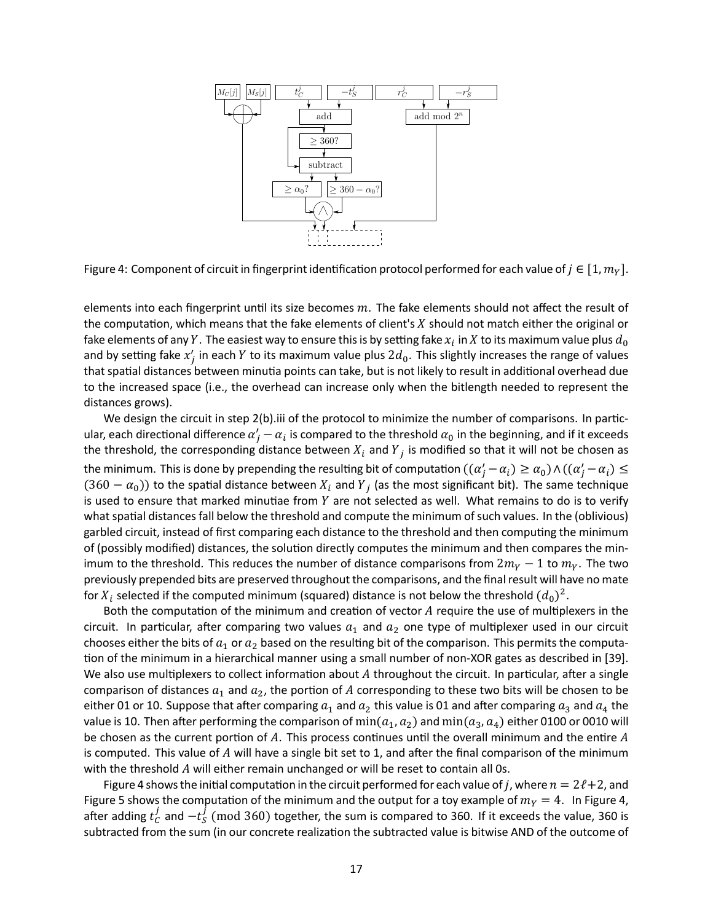

Figure 4: Component of circuit in fingerprint identification protocol performed for each value of  $j \in [1, m<sub>Y</sub>]$ .

elements into each fingerprint until its size becomes  $m$ . The fake elements should not affect the result of the computation, which means that the fake elements of client's  $X$  should not match either the original or fake elements of any  $Y.$  The easiest way to ensure this is by setting fake  $x_i$  in  $X$  to its maximum value plus  $d_0$ and by setting fake  $x'_j$  in each Y to its maximum value plus  $2d_0$ . This slightly increases the range of values that spatial distances between minutia points can take, but is not likely to result in additional overhead due to the increased space (i.e., the overhead can increase only when the bitlength needed to represent the distances grows).

We design the circuit in step 2(b).iii of the protocol to minimize the number of comparisons. In particular, each directional difference  $\alpha'_j-\alpha_i$  is compared to the threshold  $\alpha_0$  in the beginning, and if it exceeds the threshold, the corresponding distance between  $X_i$  and  $Y_j$  is modified so that it will not be chosen as the minimum. This is done by prepending the resulting bit of computation  $((\alpha_j'-\alpha_i)\geq\alpha_0)\wedge((\alpha_j'-\alpha_i)\leq$  $(360 - \alpha_0)$ ) to the spatial distance between  $X_i$  and  $Y_j$  (as the most significant bit). The same technique is used to ensure that marked minutiae from  $Y$  are not selected as well. What remains to do is to verify what spatial distances fall below the threshold and compute the minimum of such values. In the (oblivious) garbled circuit, instead of first comparing each distance to the threshold and then computing the minimum of (possibly modified) distances, the solution directly computes the minimum and then compares the minimum to the threshold. This reduces the number of distance comparisons from  $2m_V - 1$  to  $m_V$ . The two previously prepended bits are preserved throughout the comparisons, and the final result will have no mate for  $X_i$  selected if the computed minimum (squared) distance is not below the threshold  $(d_0)^2$ .

Both the computation of the minimum and creation of vector  $A$  require the use of multiplexers in the circuit. In particular, after comparing two values  $a_1$  and  $a_2$  one type of multiplexer used in our circuit chooses either the bits of  $a_1$  or  $a_2$  based on the resulting bit of the comparison. This permits the computation of the minimum in a hierarchical manner using a small number of non-XOR gates as described in [39]. We also use multiplexers to collect information about  $A$  throughout the circuit. In particular, after a single comparison of distances  $a_1$  and  $a_2$ , the portion of A corresponding to these two bits will be chosen to be either 01 or 10. Suppose that after comparing  $a_1$  and  $a_2$  this value is 01 and after comparing  $a_3$  and  $a_4$  the value is 10. Then after performing the comparison of min( $a_1, a_2$ ) and min( $a_3, a_4$ ) either 0100 or 0010 will be chosen as the current portion of A. This process continues until the overall minimum and the entire A is computed. This value of  $A$  will have a single bit set to 1, and after the final comparison of the minimum with the threshold  $A$  will either remain unchanged or will be reset to contain all 0s.

Figure 4 shows the initial computation in the circuit performed for each value of *j*, where  $n = 2\ell + 2$ , and Figure 5 shows the computation of the minimum and the output for a toy example of  $m<sub>Y</sub> = 4$ . In Figure 4, after adding  $t_{\mathcal{C}}^j$  $\frac{j}{C}$  and  $-t$ <sub>S</sub> (mod 360) together, the sum is compared to 360. If it exceeds the value, 360 is subtracted from the sum (in our concrete realization the subtracted value is bitwise AND of the outcome of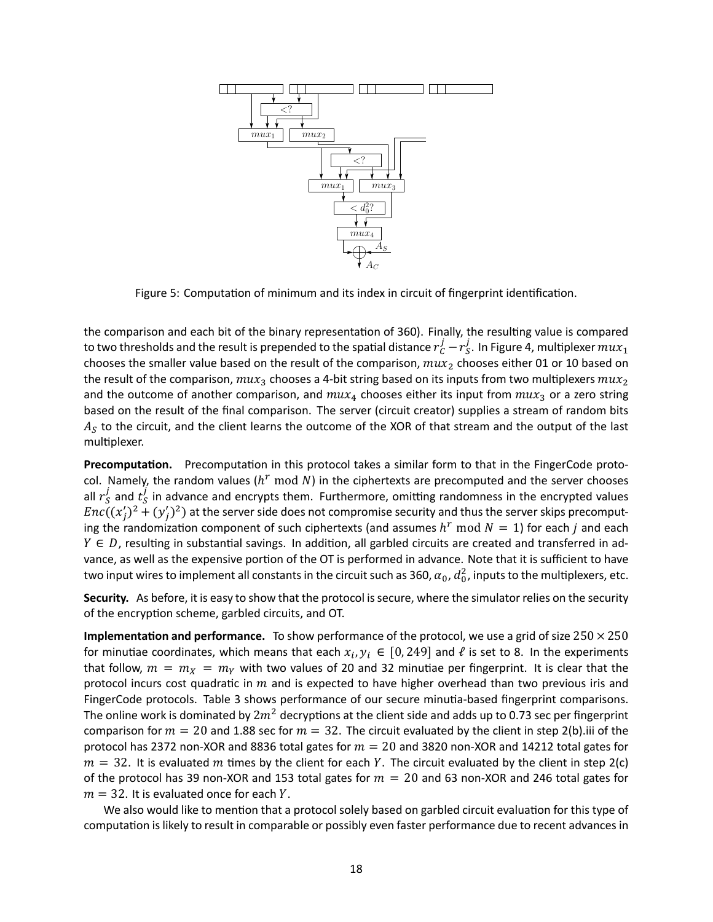

Figure 5: Computation of minimum and its index in circuit of fingerprint identification.

the comparison and each bit of the binary representation of 360). Finally, the resulting value is compared to two thresholds and the result is prepended to the spatial distance  $r_{C}^{j}-r_{S}^{j}$  $S<sub>S</sub>$ . In Figure 4, multiplexer  $mux_1$ chooses the smaller value based on the result of the comparison,  $mu x_2$  chooses either 01 or 10 based on the result of the comparison,  $mu_{x_3}$  chooses a 4-bit string based on its inputs from two multiplexers  $mu_{x_2}$ and the outcome of another comparison, and  $mu x_4$  chooses either its input from  $mu x_3$  or a zero string based on the result of the final comparison. The server (circuit creator) supplies a stream of random bits  $A_{\mathcal{S}}$  to the circuit, and the client learns the outcome of the XOR of that stream and the output of the last multiplexer.

Precomputation. Precomputation in this protocol takes a similar form to that in the FingerCode protocol. Namely, the random values ( $h^r$  mod N) in the ciphertexts are precomputed and the server chooses all  $r_{\scriptscriptstyle \mathsf{S}}^j$  $\frac{j}{S}$  and  $\frac{j}{S}$  $\frac{1}{S}$  in advance and encrypts them. Furthermore, omitting randomness in the encrypted values  $Enc((x_j')^2 + (y_j')^2)$  at the server side does not compromise security and thus the server skips precomputing the randomization component of such ciphertexts (and assumes  $h^r$  mod  $N=1$ ) for each  $j$  and each  $Y \in D$ , resulting in substantial savings. In addition, all garbled circuits are created and transferred in advance, as well as the expensive portion of the OT is performed in advance. Note that it is sufficient to have two input wires to implement all constants in the circuit such as 360,  $\alpha_0$ ,  $d^2_0$ , inputs to the multiplexers, etc.

**Security.** As before, it is easy to show that the protocol is secure, where the simulator relies on the security of the encryption scheme, garbled circuits, and OT.

**Implementation and performance.** To show performance of the protocol, we use a grid of size  $250 \times 250$ for minutiae coordinates, which means that each  $x_i, y_i \in [0, 249]$  and  $\ell$  is set to 8. In the experiments that follow,  $m = m_X = m_Y$  with two values of 20 and 32 minutiae per fingerprint. It is clear that the protocol incurs cost quadratic in  $m$  and is expected to have higher overhead than two previous iris and FingerCode protocols. Table 3 shows performance of our secure minutia-based fingerprint comparisons. The online work is dominated by  $2m^2$  decryptions at the client side and adds up to 0.73 sec per fingerprint comparison for  $m = 20$  and 1.88 sec for  $m = 32$ . The circuit evaluated by the client in step 2(b).iii of the protocol has 2372 non-XOR and 8836 total gates for  $m = 20$  and 3820 non-XOR and 14212 total gates for  $m = 32$ . It is evaluated m times by the client for each Y. The circuit evaluated by the client in step 2(c) of the protocol has 39 non-XOR and 153 total gates for  $m = 20$  and 63 non-XOR and 246 total gates for  $m = 32$ . It is evaluated once for each Y.

We also would like to mention that a protocol solely based on garbled circuit evaluation for this type of computation is likely to result in comparable or possibly even faster performance due to recent advances in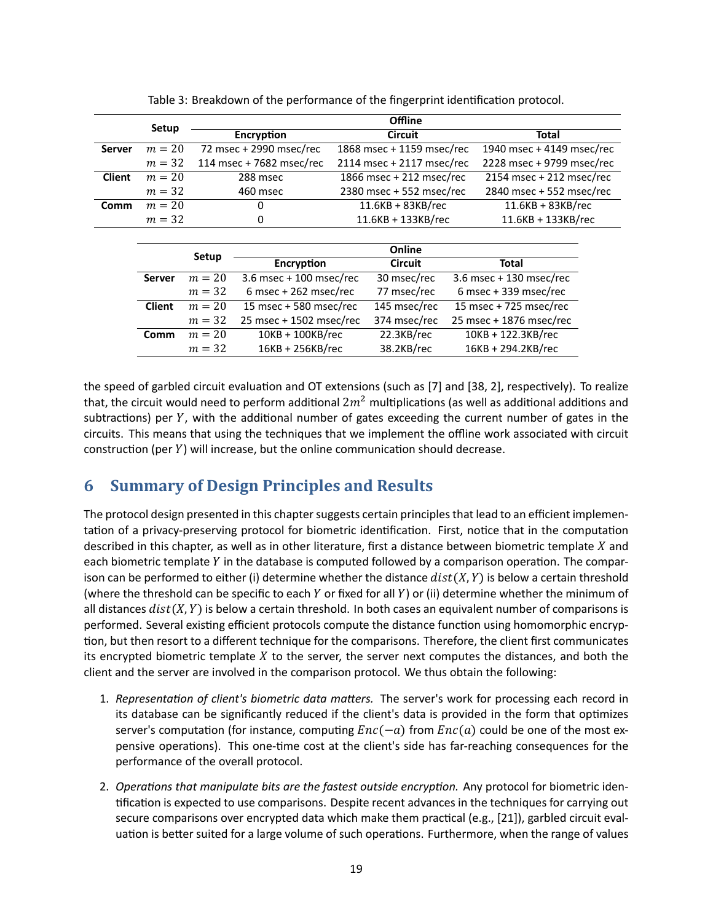|               |          | <b>Offline</b>           |                           |                            |  |
|---------------|----------|--------------------------|---------------------------|----------------------------|--|
| Setup         |          | Encryption               | <b>Circuit</b>            | Total                      |  |
| <b>Server</b> | $m = 20$ | 72 msec + 2990 msec/rec  | 1868 msec + 1159 msec/rec | 1940 msec + 4149 msec/rec  |  |
|               | $m = 32$ | 114 msec + 7682 msec/rec | 2114 msec + 2117 msec/rec | 2228 msec + 9799 msec/rec  |  |
| <b>Client</b> | $m = 20$ | 288 msec                 | 1866 msec + 212 msec/rec  | $2154$ msec + 212 msec/rec |  |
|               | $m = 32$ | 460 msec                 | 2380 msec + 552 msec/rec  | 2840 msec + 552 msec/rec   |  |
| Comm          | $m = 20$ | 0                        | $11.6KB + 83KB$ /rec      | $11.6KB + 83KB/rec$        |  |
|               | $m = 32$ | 0                        | 11.6KB + 133KB/rec        | 11.6KB + 133KB/rec         |  |

|               | Setup    | Online                  |                |                         |  |
|---------------|----------|-------------------------|----------------|-------------------------|--|
|               |          | Encryption              | <b>Circuit</b> | Total                   |  |
| <b>Server</b> | $m = 20$ | 3.6 msec + 100 msec/rec | 30 msec/rec    | 3.6 msec + 130 msec/rec |  |
|               | $m = 32$ | $6$ msec + 262 msec/rec | 77 msec/rec    | 6 msec + 339 msec/rec   |  |
| <b>Client</b> | $m = 20$ | 15 msec + 580 msec/rec  | 145 msec/rec   | 15 msec + 725 msec/rec  |  |
|               | $m = 32$ | 25 msec + 1502 msec/rec | 374 msec/rec   | 25 msec + 1876 msec/rec |  |
| Comm          | $m = 20$ | $10KB + 100KB/rec$      | 22.3KB/rec     | 10KB + 122.3KB/rec      |  |
|               | $m = 32$ | 16KB + 256KB/rec        | 38.2KB/rec     | 16KB + 294.2KB/rec      |  |

the speed of garbled circuit evaluation and OT extensions (such as [7] and [38, 2], respectively). To realize that, the circuit would need to perform additional  $2m^2$  multiplications (as well as additional additions and subtractions) per  $Y$ , with the additional number of gates exceeding the current number of gates in the circuits. This means that using the techniques that we implement the offline work associated with circuit construction (per  $Y$ ) will increase, but the online communication should decrease.

# **6 Summary of Design Principles and Results**

The protocol design presented in this chapter suggests certain principles that lead to an efficient implementation of a privacy-preserving protocol for biometric identification. First, notice that in the computation described in this chapter, as well as in other literature, first a distance between biometric template  $X$  and each biometric template  $Y$  in the database is computed followed by a comparison operation. The comparison can be performed to either (i) determine whether the distance  $dist(X, Y)$  is below a certain threshold (where the threshold can be specific to each  $Y$  or fixed for all  $Y$ ) or (ii) determine whether the minimum of all distances  $dist(X, Y)$  is below a certain threshold. In both cases an equivalent number of comparisons is performed. Several existing efficient protocols compute the distance function using homomorphic encryption, but then resort to a different technique for the comparisons. Therefore, the client first communicates its encrypted biometric template  $X$  to the server, the server next computes the distances, and both the client and the server are involved in the comparison protocol. We thus obtain the following:

- 1. *RepresentaƟon of client's biometric data maƩers.* The server's work for processing each record in its database can be significantly reduced if the client's data is provided in the form that optimizes server's computation (for instance, computing  $Enc(-a)$  from  $Enc(a)$  could be one of the most expensive operations). This one-time cost at the client's side has far-reaching consequences for the performance of the overall protocol.
- 2. *Operations that manipulate bits are the fastest outside encryption.* Any protocol for biometric identification is expected to use comparisons. Despite recent advances in the techniques for carrying out secure comparisons over encrypted data which make them practical (e.g., [21]), garbled circuit evaluation is better suited for a large volume of such operations. Furthermore, when the range of values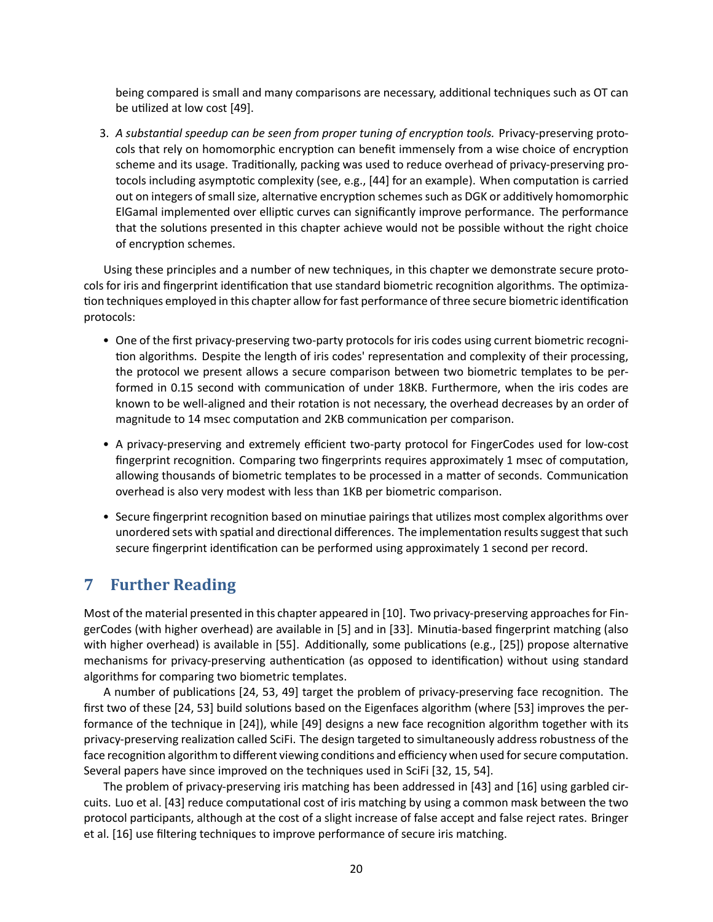being compared is small and many comparisons are necessary, additional techniques such as OT can be utilized at low cost [49].

3. A substantial speedup can be seen from proper tuning of encryption tools. Privacy-preserving protocols that rely on homomorphic encryption can benefit immensely from a wise choice of encryption scheme and its usage. Traditionally, packing was used to reduce overhead of privacy-preserving protocols including asymptotic complexity (see, e.g., [44] for an example). When computation is carried out on integers of small size, alternative encryption schemes such as DGK or additively homomorphic ElGamal implemented over elliptic curves can significantly improve performance. The performance that the solutions presented in this chapter achieve would not be possible without the right choice of encryption schemes.

Using these principles and a number of new techniques, in this chapter we demonstrate secure protocols for iris and fingerprint identification that use standard biometric recognition algorithms. The optimization techniques employed in this chapter allow for fast performance of three secure biometric identification protocols:

- One of the first privacy-preserving two-party protocols for iris codes using current biometric recognition algorithms. Despite the length of iris codes' representation and complexity of their processing, the protocol we present allows a secure comparison between two biometric templates to be performed in 0.15 second with communication of under 18KB. Furthermore, when the iris codes are known to be well-aligned and their rotation is not necessary, the overhead decreases by an order of magnitude to 14 msec computation and 2KB communication per comparison.
- A privacy-preserving and extremely efficient two-party protocol for FingerCodes used for low-cost fingerprint recognition. Comparing two fingerprints requires approximately 1 msec of computation, allowing thousands of biometric templates to be processed in a matter of seconds. Communication overhead is also very modest with less than 1KB per biometric comparison.
- Secure fingerprint recognition based on minutiae pairings that utilizes most complex algorithms over unordered sets with spatial and directional differences. The implementation results suggest that such secure fingerprint identification can be performed using approximately 1 second per record.

# **7 Further Reading**

Most of the material presented in this chapter appeared in [10]. Two privacy-preserving approaches for FingerCodes (with higher overhead) are available in [5] and in [33]. Minutia-based fingerprint matching (also with higher overhead) is available in [55]. Additionally, some publications (e.g., [25]) propose alternative mechanisms for privacy-preserving authentication (as opposed to identification) without using standard algorithms for comparing two biometric templates.

A number of publications [24, 53, 49] target the problem of privacy-preserving face recognition. The first two of these [24, 53] build solutions based on the Eigenfaces algorithm (where [53] improves the performance of the technique in [24]), while [49] designs a new face recognition algorithm together with its privacy-preserving realization called SciFi. The design targeted to simultaneously address robustness of the face recognition algorithm to different viewing conditions and efficiency when used for secure computation. Several papers have since improved on the techniques used in SciFi [32, 15, 54].

The problem of privacy-preserving iris matching has been addressed in [43] and [16] using garbled circuits. Luo et al. [43] reduce computational cost of iris matching by using a common mask between the two protocol participants, although at the cost of a slight increase of false accept and false reject rates. Bringer et al. [16] use filtering techniques to improve performance of secure iris matching.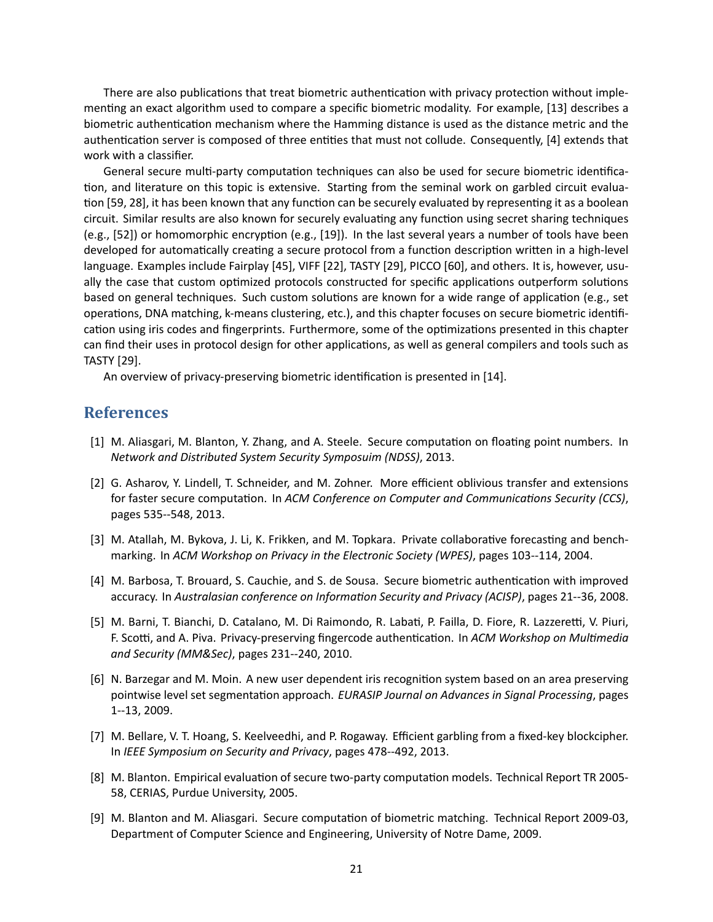There are also publications that treat biometric authentication with privacy protection without implementing an exact algorithm used to compare a specific biometric modality. For example, [13] describes a biometric authentication mechanism where the Hamming distance is used as the distance metric and the authentication server is composed of three entities that must not collude. Consequently, [4] extends that work with a classifier.

General secure multi-party computation techniques can also be used for secure biometric identification, and literature on this topic is extensive. Starting from the seminal work on garbled circuit evaluation [59, 28], it has been known that any function can be securely evaluated by representing it as a boolean circuit. Similar results are also known for securely evaluating any function using secret sharing techniques (e.g., [52]) or homomorphic encryption (e.g., [19]). In the last several years a number of tools have been developed for automatically creating a secure protocol from a function description written in a high-level language. Examples include Fairplay [45], VIFF [22], TASTY [29], PICCO [60], and others. It is, however, usually the case that custom optimized protocols constructed for specific applications outperform solutions based on general techniques. Such custom solutions are known for a wide range of application (e.g., set operations, DNA matching, k-means clustering, etc.), and this chapter focuses on secure biometric identification using iris codes and fingerprints. Furthermore, some of the optimizations presented in this chapter can find their uses in protocol design for other applications, as well as general compilers and tools such as TASTY [29].

An overview of privacy-preserving biometric identification is presented in [14].

## **References**

- [1] M. Aliasgari, M. Blanton, Y. Zhang, and A. Steele. Secure computation on floating point numbers. In *Network and Distributed System Security Symposuim (NDSS)*, 2013.
- [2] G. Asharov, Y. Lindell, T. Schneider, and M. Zohner. More efficient oblivious transfer and extensions for faster secure computation. In *ACM Conference on Computer and Communications Security (CCS)*, pages 535--548, 2013.
- [3] M. Atallah, M. Bykova, J. Li, K. Frikken, and M. Topkara. Private collaborative forecasting and benchmarking. In *ACM Workshop on Privacy in the Electronic Society (WPES)*, pages 103--114, 2004.
- [4] M. Barbosa, T. Brouard, S. Cauchie, and S. de Sousa. Secure biometric authentication with improved accuracy. In *Australasian conference on InformaƟon Security and Privacy (ACISP)*, pages 21--36, 2008.
- [5] M. Barni, T. Bianchi, D. Catalano, M. Di Raimondo, R. Labati, P. Failla, D. Fiore, R. Lazzeretti, V. Piuri, F. Scotti, and A. Piva. Privacy-preserving fingercode authentication. In ACM Workshop on Multimedia *and Security (MM&Sec)*, pages 231--240, 2010.
- [6] N. Barzegar and M. Moin. A new user dependent iris recognition system based on an area preserving pointwise level set segmentation approach. *EURASIP Journal on Advances in Signal Processing*, pages 1--13, 2009.
- [7] M. Bellare, V. T. Hoang, S. Keelveedhi, and P. Rogaway. Efficient garbling from a fixed-key blockcipher. In *IEEE Symposium on Security and Privacy*, pages 478--492, 2013.
- [8] M. Blanton. Empirical evaluation of secure two-party computation models. Technical Report TR 2005-58, CERIAS, Purdue University, 2005.
- [9] M. Blanton and M. Aliasgari. Secure computation of biometric matching. Technical Report 2009-03, Department of Computer Science and Engineering, University of Notre Dame, 2009.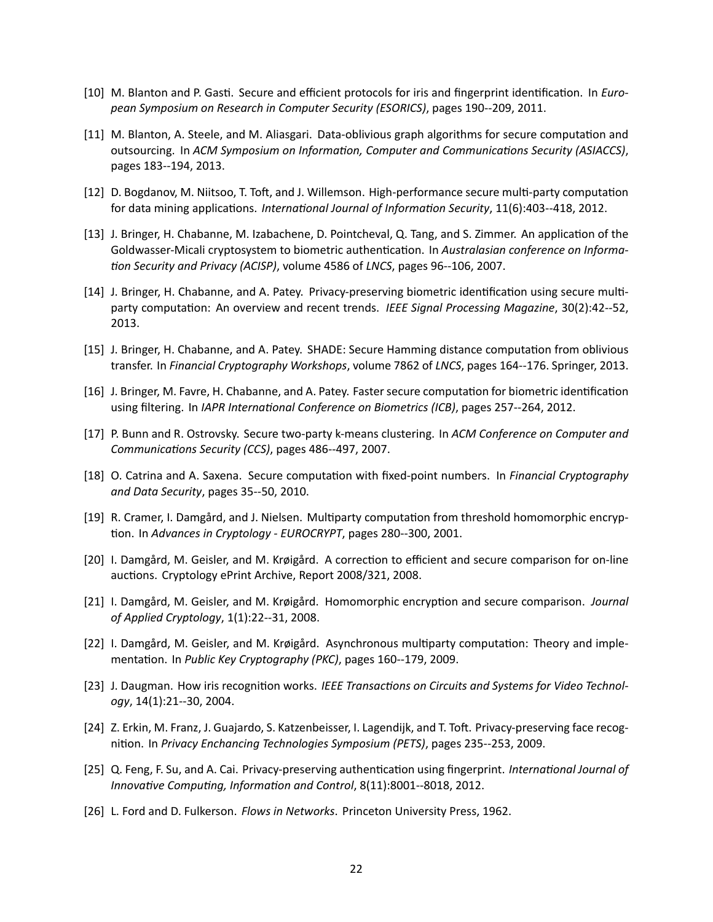- [10] M. Blanton and P. Gasti. Secure and efficient protocols for iris and fingerprint identification. In *European Symposium on Research in Computer Security (ESORICS)*, pages 190--209, 2011.
- [11] M. Blanton, A. Steele, and M. Aliasgari. Data-oblivious graph algorithms for secure computation and outsourcing. In *ACM Symposium on Information, Computer and Communications Security (ASIACCS)*, pages 183--194, 2013.
- [12] D. Bogdanov, M. Niitsoo, T. Toft, and J. Willemson. High-performance secure multi-party computation for data mining applications. *International Journal of Information Security*, 11(6):403--418, 2012.
- [13] J. Bringer, H. Chabanne, M. Izabachene, D. Pointcheval, Q. Tang, and S. Zimmer. An application of the Goldwasser-Micali cryptosystem to biometric authentication. In *Australasian conference on Informa-Ɵon Security and Privacy (ACISP)*, volume 4586 of *LNCS*, pages 96--106, 2007.
- [14] J. Bringer, H. Chabanne, and A. Patey. Privacy-preserving biometric identification using secure multiparty computation: An overview and recent trends. *IEEE Signal Processing Magazine*, 30(2):42--52, 2013.
- [15] J. Bringer, H. Chabanne, and A. Patey. SHADE: Secure Hamming distance computation from oblivious transfer. In *Financial Cryptography Workshops*, volume 7862 of *LNCS*, pages 164--176. Springer, 2013.
- [16] J. Bringer, M. Favre, H. Chabanne, and A. Patey. Faster secure computation for biometric identification using filtering. In *IAPR International Conference on Biometrics (ICB)*, pages 257--264, 2012.
- [17] P. Bunn and R. Ostrovsky. Secure two-party k-means clustering. In *ACM Conference on Computer and CommunicaƟons Security (CCS)*, pages 486--497, 2007.
- [18] O. Catrina and A. Saxena. Secure computation with fixed-point numbers. In *Financial Cryptography and Data Security*, pages 35--50, 2010.
- [19] R. Cramer, I. Damgård, and J. Nielsen. Multiparty computation from threshold homomorphic encryp-Ɵon. In *Advances in Cryptology - EUROCRYPT*, pages 280--300, 2001.
- [20] I. Damgård, M. Geisler, and M. Krøigård. A correction to efficient and secure comparison for on-line auctions. Cryptology ePrint Archive, Report 2008/321, 2008.
- [21] I. Damgård, M. Geisler, and M. Krøigård. Homomorphic encryption and secure comparison. *Journal of Applied Cryptology*, 1(1):22--31, 2008.
- [22] I. Damgård, M. Geisler, and M. Krøigård. Asynchronous multiparty computation: Theory and implementation. In *Public Key Cryptography (PKC)*, pages 160--179, 2009.
- [23] J. Daugman. How iris recognition works. IEEE Transactions on Circuits and Systems for Video Technol*ogy*, 14(1):21--30, 2004.
- [24] Z. Erkin, M. Franz, J. Guajardo, S. Katzenbeisser, I. Lagendijk, and T. Toft. Privacy-preserving face recognition. In *Privacy Enchancing Technologies Symposium (PETS)*, pages 235--253, 2009.
- [25] Q. Feng, F. Su, and A. Cai. Privacy-preserving authentication using fingerprint. *International Journal of InnovaƟve CompuƟng, InformaƟon and Control*, 8(11):8001--8018, 2012.
- [26] L. Ford and D. Fulkerson. *Flows in Networks*. Princeton University Press, 1962.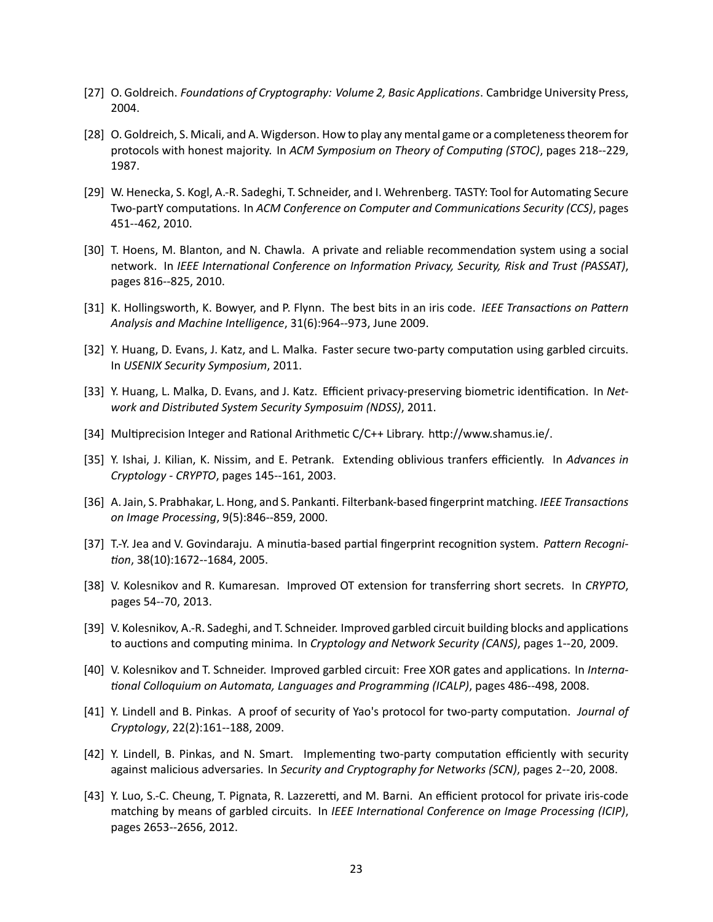- [27] O. Goldreich. *Foundations of Cryptography: Volume 2, Basic Applications*. Cambridge University Press, 2004.
- [28] O. Goldreich, S. Micali, and A. Wigderson. How to play any mental game or a completeness theorem for protocols with honest majority. In *ACM Symposium on Theory of Computing (STOC)*, pages 218--229, 1987.
- [29] W. Henecka, S. Kogl, A.-R. Sadeghi, T. Schneider, and I. Wehrenberg. TASTY: Tool for Automating Secure Two-partY computaƟons. In *ACM Conference on Computer and CommunicaƟons Security (CCS)*, pages 451--462, 2010.
- [30] T. Hoens, M. Blanton, and N. Chawla. A private and reliable recommendation system using a social network. In *IEEE International Conference on Information Privacy, Security, Risk and Trust (PASSAT)*, pages 816--825, 2010.
- [31] K. Hollingsworth, K. Bowyer, and P. Flynn. The best bits in an iris code. *IEEE Transactions on Pattern Analysis and Machine Intelligence*, 31(6):964--973, June 2009.
- [32] Y. Huang, D. Evans, J. Katz, and L. Malka. Faster secure two-party computation using garbled circuits. In *USENIX Security Symposium*, 2011.
- [33] Y. Huang, L. Malka, D. Evans, and J. Katz. Efficient privacy-preserving biometric identification. In *Network and Distributed System Security Symposuim (NDSS)*, 2011.
- [34] Multiprecision Integer and Rational Arithmetic C/C++ Library. http://www.shamus.ie/.
- [35] Y. Ishai, J. Kilian, K. Nissim, and E. Petrank. Extending oblivious tranfers efficiently. In *Advances in Cryptology - CRYPTO*, pages 145--161, 2003.
- [36] A. Jain, S. Prabhakar, L. Hong, and S. Pankanti. Filterbank-based fingerprint matching. *IEEE Transactions on Image Processing*, 9(5):846--859, 2000.
- [37] T.-Y. Jea and V. Govindaraju. A minutia-based partial fingerprint recognition system. Pattern Recogni-*Ɵon*, 38(10):1672--1684, 2005.
- [38] V. Kolesnikov and R. Kumaresan. Improved OT extension for transferring short secrets. In *CRYPTO*, pages 54--70, 2013.
- [39] V. Kolesnikov, A.-R. Sadeghi, and T. Schneider. Improved garbled circuit building blocks and applications to auctions and computing minima. In *Cryptology and Network Security (CANS)*, pages 1--20, 2009.
- [40] V. Kolesnikov and T. Schneider. Improved garbled circuit: Free XOR gates and applications. In *Interna-Ɵonal Colloquium on Automata, Languages and Programming (ICALP)*, pages 486--498, 2008.
- [41] Y. Lindell and B. Pinkas. A proof of security of Yao's protocol for two-party computation. *Journal of Cryptology*, 22(2):161--188, 2009.
- [42] Y. Lindell, B. Pinkas, and N. Smart. Implementing two-party computation efficiently with security against malicious adversaries. In *Security and Cryptography for Networks (SCN)*, pages 2--20, 2008.
- [43] Y. Luo, S.-C. Cheung, T. Pignata, R. Lazzeretti, and M. Barni. An efficient protocol for private iris-code matching by means of garbled circuits. In *IEEE International Conference on Image Processing (ICIP)*, pages 2653--2656, 2012.